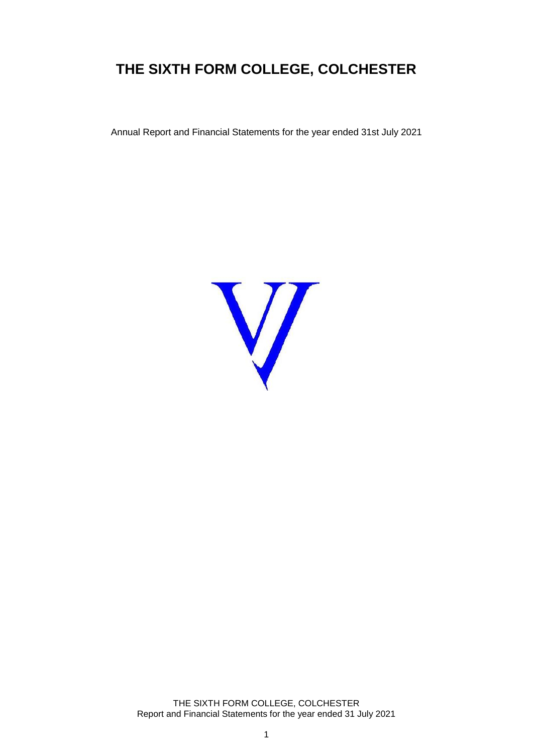# **THE SIXTH FORM COLLEGE, COLCHESTER**

Annual Report and Financial Statements for the year ended 31st July 2021

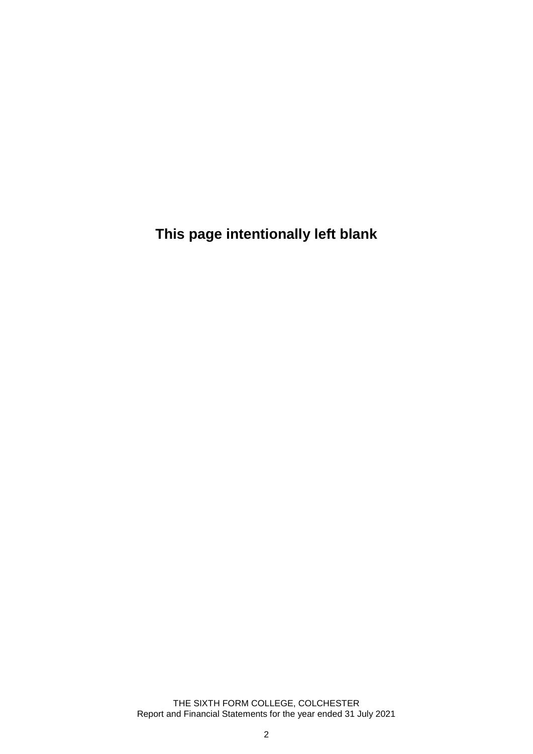**This page intentionally left blank**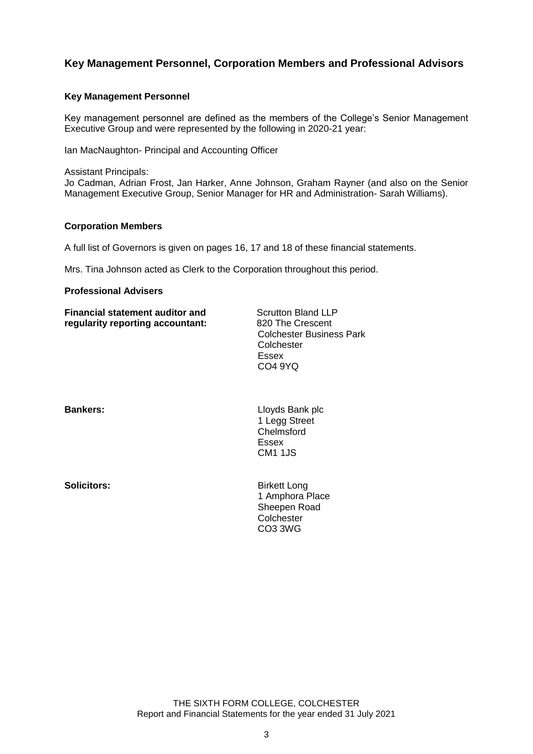# **Key Management Personnel, Corporation Members and Professional Advisors**

### **Key Management Personnel**

Key management personnel are defined as the members of the College's Senior Management Executive Group and were represented by the following in 2020-21 year:

Ian MacNaughton- Principal and Accounting Officer

Assistant Principals:

Jo Cadman, Adrian Frost, Jan Harker, Anne Johnson, Graham Rayner (and also on the Senior Management Executive Group, Senior Manager for HR and Administration- Sarah Williams).

### **Corporation Members**

A full list of Governors is given on pages 16, 17 and 18 of these financial statements.

Mrs. Tina Johnson acted as Clerk to the Corporation throughout this period.

### **Professional Advisers**

| <b>Financial statement auditor and</b> |  |
|----------------------------------------|--|
| regularity reporting accountant:       |  |

**Scrutton Bland LLP** 820 The Crescent Colchester Business Park **Colchester** Essex CO4 9YQ

**Bankers:** Lloyds Bank plc 1 Legg Street Chelmsford Essex CM1 1JS

**Solicitors:** Birkett Long 1 Amphora Place Sheepen Road **Colchester** CO3 3WG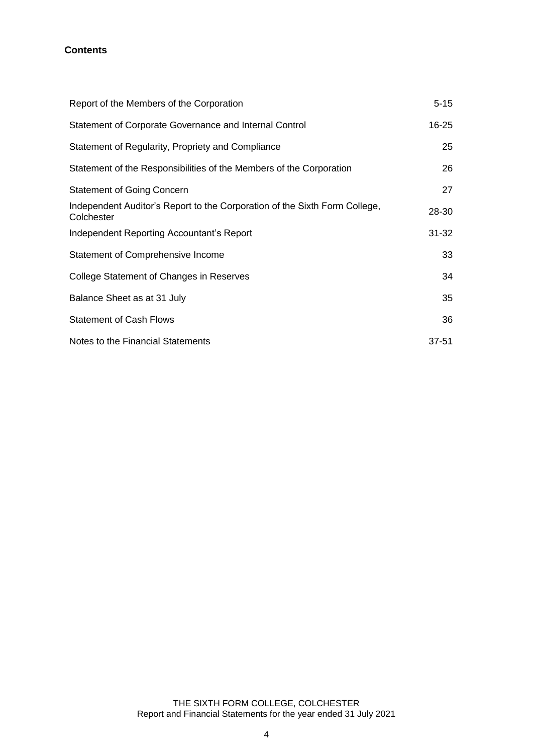# **Contents**

| Report of the Members of the Corporation                                                 | $5 - 15$  |
|------------------------------------------------------------------------------------------|-----------|
| Statement of Corporate Governance and Internal Control                                   | $16 - 25$ |
| Statement of Regularity, Propriety and Compliance                                        | 25        |
| Statement of the Responsibilities of the Members of the Corporation                      | 26        |
| <b>Statement of Going Concern</b>                                                        | 27        |
| Independent Auditor's Report to the Corporation of the Sixth Form College,<br>Colchester | 28-30     |
| Independent Reporting Accountant's Report                                                | $31 - 32$ |
| Statement of Comprehensive Income                                                        | 33        |
| College Statement of Changes in Reserves                                                 | 34        |
| Balance Sheet as at 31 July                                                              | 35        |
| <b>Statement of Cash Flows</b>                                                           | 36        |
| Notes to the Financial Statements                                                        | 37-51     |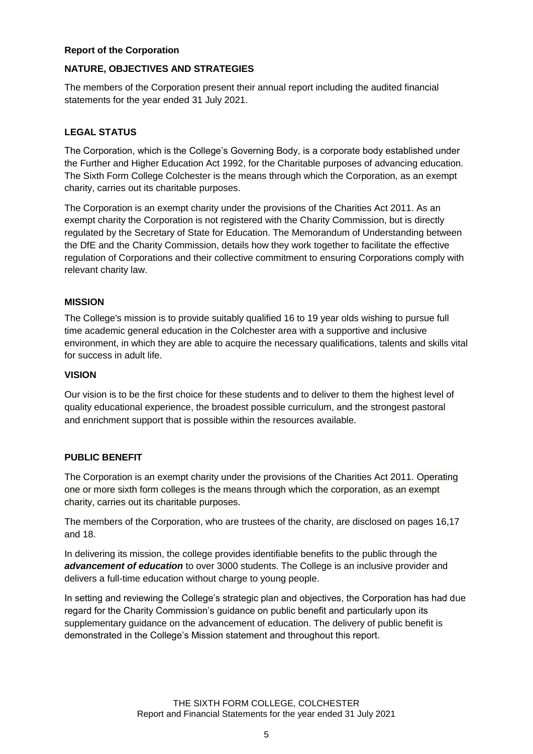### **Report of the Corporation**

### **NATURE, OBJECTIVES AND STRATEGIES**

The members of the Corporation present their annual report including the audited financial statements for the year ended 31 July 2021.

### **LEGAL STATUS**

The Corporation, which is the College's Governing Body, is a corporate body established under the Further and Higher Education Act 1992, for the Charitable purposes of advancing education. The Sixth Form College Colchester is the means through which the Corporation, as an exempt charity, carries out its charitable purposes.

The Corporation is an exempt charity under the provisions of the Charities Act 2011. As an exempt charity the Corporation is not registered with the Charity Commission, but is directly regulated by the Secretary of State for Education. The Memorandum of Understanding between the DfE and the Charity Commission, details how they work together to facilitate the effective regulation of Corporations and their collective commitment to ensuring Corporations comply with relevant charity law.

### **MISSION**

The College's mission is to provide suitably qualified 16 to 19 year olds wishing to pursue full time academic general education in the Colchester area with a supportive and inclusive environment, in which they are able to acquire the necessary qualifications, talents and skills vital for success in adult life.

### **VISION**

Our vision is to be the first choice for these students and to deliver to them the highest level of quality educational experience, the broadest possible curriculum, and the strongest pastoral and enrichment support that is possible within the resources available*.*

### **PUBLIC BENEFIT**

The Corporation is an exempt charity under the provisions of the Charities Act 2011. Operating one or more sixth form colleges is the means through which the corporation, as an exempt charity, carries out its charitable purposes.

The members of the Corporation, who are trustees of the charity, are disclosed on pages 16,17 and 18.

In delivering its mission, the college provides identifiable benefits to the public through the *advancement of education* to over 3000 students. The College is an inclusive provider and delivers a full-time education without charge to young people.

In setting and reviewing the College's strategic plan and objectives, the Corporation has had due regard for the Charity Commission's guidance on public benefit and particularly upon its supplementary guidance on the advancement of education. The delivery of public benefit is demonstrated in the College's Mission statement and throughout this report.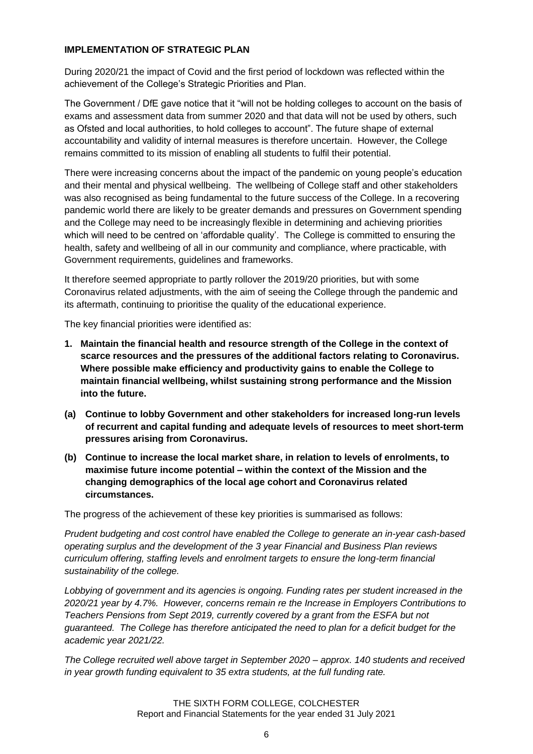### **IMPLEMENTATION OF STRATEGIC PLAN**

During 2020/21 the impact of Covid and the first period of lockdown was reflected within the achievement of the College's Strategic Priorities and Plan.

The Government / DfE gave notice that it "will not be holding colleges to account on the basis of exams and assessment data from summer 2020 and that data will not be used by others, such as Ofsted and local authorities, to hold colleges to account". The future shape of external accountability and validity of internal measures is therefore uncertain. However, the College remains committed to its mission of enabling all students to fulfil their potential.

There were increasing concerns about the impact of the pandemic on young people's education and their mental and physical wellbeing. The wellbeing of College staff and other stakeholders was also recognised as being fundamental to the future success of the College. In a recovering pandemic world there are likely to be greater demands and pressures on Government spending and the College may need to be increasingly flexible in determining and achieving priorities which will need to be centred on 'affordable quality'. The College is committed to ensuring the health, safety and wellbeing of all in our community and compliance, where practicable, with Government requirements, guidelines and frameworks.

It therefore seemed appropriate to partly rollover the 2019/20 priorities, but with some Coronavirus related adjustments, with the aim of seeing the College through the pandemic and its aftermath, continuing to prioritise the quality of the educational experience.

The key financial priorities were identified as:

- **1. Maintain the financial health and resource strength of the College in the context of scarce resources and the pressures of the additional factors relating to Coronavirus. Where possible make efficiency and productivity gains to enable the College to maintain financial wellbeing, whilst sustaining strong performance and the Mission into the future.**
- **(a) Continue to lobby Government and other stakeholders for increased long-run levels of recurrent and capital funding and adequate levels of resources to meet short-term pressures arising from Coronavirus.**
- **(b) Continue to increase the local market share, in relation to levels of enrolments, to maximise future income potential – within the context of the Mission and the changing demographics of the local age cohort and Coronavirus related circumstances.**

The progress of the achievement of these key priorities is summarised as follows:

*Prudent budgeting and cost control have enabled the College to generate an in-year cash-based operating surplus and the development of the 3 year Financial and Business Plan reviews curriculum offering, staffing levels and enrolment targets to ensure the long-term financial sustainability of the college.*

*Lobbying of government and its agencies is ongoing. Funding rates per student increased in the 2020/21 year by 4.7%. However, concerns remain re the Increase in Employers Contributions to Teachers Pensions from Sept 2019, currently covered by a grant from the ESFA but not guaranteed. The College has therefore anticipated the need to plan for a deficit budget for the academic year 2021/22.*

*The College recruited well above target in September 2020 – approx. 140 students and received in year growth funding equivalent to 35 extra students, at the full funding rate.*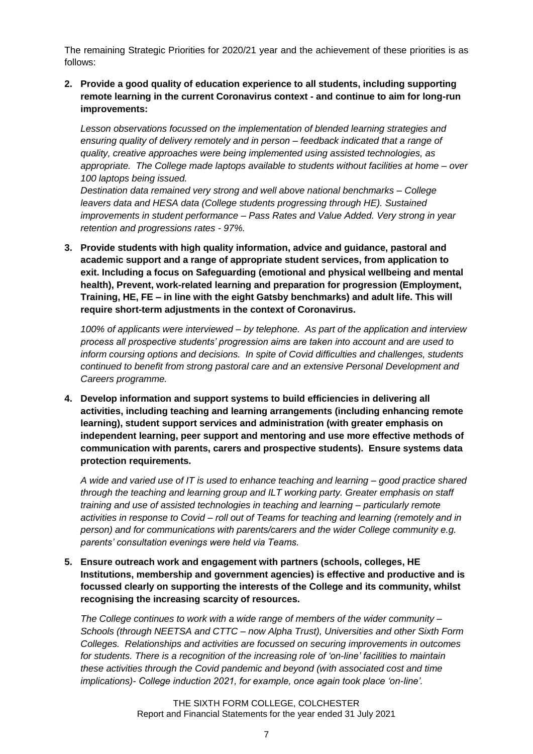The remaining Strategic Priorities for 2020/21 year and the achievement of these priorities is as follows:

**2. Provide a good quality of education experience to all students, including supporting remote learning in the current Coronavirus context - and continue to aim for long-run improvements:**

*Lesson observations focussed on the implementation of blended learning strategies and ensuring quality of delivery remotely and in person – feedback indicated that a range of quality, creative approaches were being implemented using assisted technologies, as appropriate. The College made laptops available to students without facilities at home – over 100 laptops being issued.*

*Destination data remained very strong and well above national benchmarks – College leavers data and HESA data (College students progressing through HE). Sustained improvements in student performance – Pass Rates and Value Added. Very strong in year retention and progressions rates - 97%.*

**3. Provide students with high quality information, advice and guidance, pastoral and academic support and a range of appropriate student services, from application to exit. Including a focus on Safeguarding (emotional and physical wellbeing and mental health), Prevent, work-related learning and preparation for progression (Employment, Training, HE, FE – in line with the eight Gatsby benchmarks) and adult life. This will require short-term adjustments in the context of Coronavirus.**

*100% of applicants were interviewed – by telephone. As part of the application and interview process all prospective students' progression aims are taken into account and are used to inform coursing options and decisions. In spite of Covid difficulties and challenges, students continued to benefit from strong pastoral care and an extensive Personal Development and Careers programme.*

**4. Develop information and support systems to build efficiencies in delivering all activities, including teaching and learning arrangements (including enhancing remote learning), student support services and administration (with greater emphasis on independent learning, peer support and mentoring and use more effective methods of communication with parents, carers and prospective students). Ensure systems data protection requirements.**

*A wide and varied use of IT is used to enhance teaching and learning – good practice shared through the teaching and learning group and ILT working party. Greater emphasis on staff training and use of assisted technologies in teaching and learning – particularly remote activities in response to Covid – roll out of Teams for teaching and learning (remotely and in person) and for communications with parents/carers and the wider College community e.g. parents' consultation evenings were held via Teams.*

**5. Ensure outreach work and engagement with partners (schools, colleges, HE Institutions, membership and government agencies) is effective and productive and is focussed clearly on supporting the interests of the College and its community, whilst recognising the increasing scarcity of resources.**

*The College continues to work with a wide range of members of the wider community – Schools (through NEETSA and CTTC – now Alpha Trust), Universities and other Sixth Form Colleges. Relationships and activities are focussed on securing improvements in outcomes for students. There is a recognition of the increasing role of 'on-line' facilities to maintain these activities through the Covid pandemic and beyond (with associated cost and time implications)- College induction 2021, for example, once again took place 'on-line'.*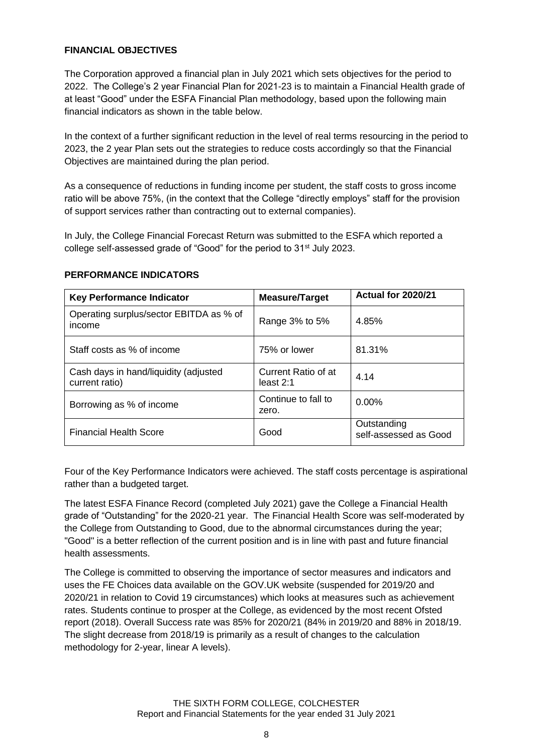### **FINANCIAL OBJECTIVES**

The Corporation approved a financial plan in July 2021 which sets objectives for the period to 2022. The College's 2 year Financial Plan for 2021-23 is to maintain a Financial Health grade of at least "Good" under the ESFA Financial Plan methodology, based upon the following main financial indicators as shown in the table below.

In the context of a further significant reduction in the level of real terms resourcing in the period to 2023, the 2 year Plan sets out the strategies to reduce costs accordingly so that the Financial Objectives are maintained during the plan period.

As a consequence of reductions in funding income per student, the staff costs to gross income ratio will be above 75%, (in the context that the College "directly employs" staff for the provision of support services rather than contracting out to external companies).

In July, the College Financial Forecast Return was submitted to the ESFA which reported a college self-assessed grade of "Good" for the period to 31st July 2023.

| <b>Key Performance Indicator</b>                        | Measure/Target                   | Actual for 2020/21                   |
|---------------------------------------------------------|----------------------------------|--------------------------------------|
| Operating surplus/sector EBITDA as % of<br>income       | Range 3% to 5%                   | 4.85%                                |
| Staff costs as % of income                              | 75% or lower                     | 81.31%                               |
| Cash days in hand/liquidity (adjusted<br>current ratio) | Current Ratio of at<br>least 2:1 | 4.14                                 |
| Borrowing as % of income                                | Continue to fall to<br>zero.     | $0.00\%$                             |
| <b>Financial Health Score</b>                           | Good                             | Outstanding<br>self-assessed as Good |

### **PERFORMANCE INDICATORS**

Four of the Key Performance Indicators were achieved. The staff costs percentage is aspirational rather than a budgeted target.

The latest ESFA Finance Record (completed July 2021) gave the College a Financial Health grade of "Outstanding" for the 2020-21 year. The Financial Health Score was self-moderated by the College from Outstanding to Good, due to the abnormal circumstances during the year; "Good" is a better reflection of the current position and is in line with past and future financial health assessments.

The College is committed to observing the importance of sector measures and indicators and uses the FE Choices data available on the GOV.UK website (suspended for 2019/20 and 2020/21 in relation to Covid 19 circumstances) which looks at measures such as achievement rates. Students continue to prosper at the College, as evidenced by the most recent Ofsted report (2018). Overall Success rate was 85% for 2020/21 (84% in 2019/20 and 88% in 2018/19. The slight decrease from 2018/19 is primarily as a result of changes to the calculation methodology for 2-year, linear A levels).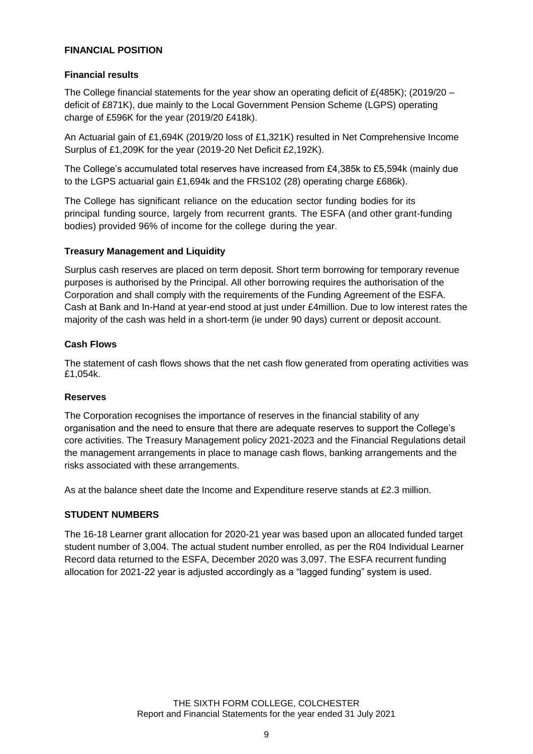### **FINANCIAL POSITION**

### **Financial results**

The College financial statements for the year show an operating deficit of  $E(485K)$ ; (2019/20 – deficit of £871K), due mainly to the Local Government Pension Scheme (LGPS) operating charge of £596K for the year (2019/20 £418k).

An Actuarial gain of £1,694K (2019/20 loss of £1,321K) resulted in Net Comprehensive Income Surplus of £1,209K for the year (2019-20 Net Deficit £2,192K).

The College's accumulated total reserves have increased from £4,385k to £5,594k (mainly due to the LGPS actuarial gain £1,694k and the FRS102 (28) operating charge £686k).

The College has significant reliance on the education sector funding bodies for its principal funding source, largely from recurrent grants. The ESFA (and other grant-funding bodies) provided 96% of income for the college during the year.

### **Treasury Management and Liquidity**

Surplus cash reserves are placed on term deposit. Short term borrowing for temporary revenue purposes is authorised by the Principal. All other borrowing requires the authorisation of the Corporation and shall comply with the requirements of the Funding Agreement of the ESFA. Cash at Bank and In-Hand at year-end stood at just under £4million. Due to low interest rates the majority of the cash was held in a short-term (ie under 90 days) current or deposit account.

### **Cash Flows**

The statement of cash flows shows that the net cash flow generated from operating activities was £1,054k.

### **Reserves**

The Corporation recognises the importance of reserves in the financial stability of any organisation and the need to ensure that there are adequate reserves to support the College's core activities. The Treasury Management policy 2021-2023 and the Financial Regulations detail the management arrangements in place to manage cash flows, banking arrangements and the risks associated with these arrangements.

As at the balance sheet date the Income and Expenditure reserve stands at £2.3 million.

### **STUDENT NUMBERS**

The 16-18 Learner grant allocation for 2020-21 year was based upon an allocated funded target student number of 3,004. The actual student number enrolled, as per the R04 Individual Learner Record data returned to the ESFA, December 2020 was 3,097. The ESFA recurrent funding allocation for 2021-22 year is adjusted accordingly as a "lagged funding" system is used.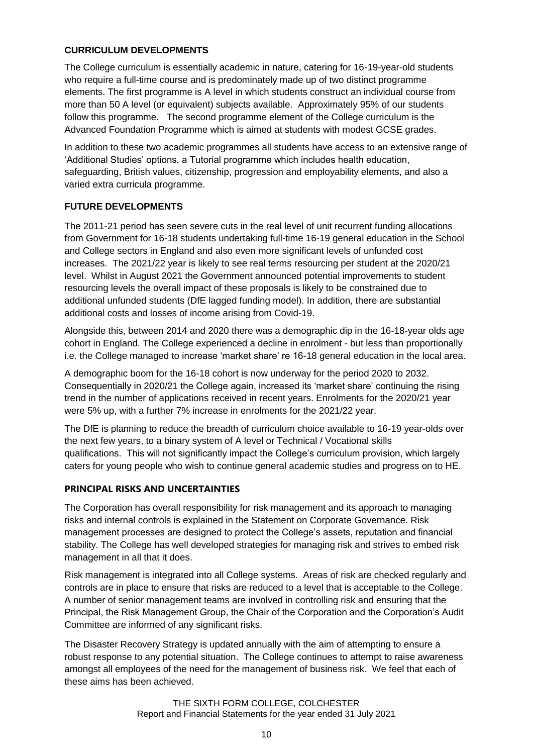### **CURRICULUM DEVELOPMENTS**

The College curriculum is essentially academic in nature, catering for 16-19-year-old students who require a full-time course and is predominately made up of two distinct programme elements. The first programme is A level in which students construct an individual course from more than 50 A level (or equivalent) subjects available. Approximately 95% of our students follow this programme. The second programme element of the College curriculum is the Advanced Foundation Programme which is aimed at students with modest GCSE grades.

In addition to these two academic programmes all students have access to an extensive range of 'Additional Studies' options, a Tutorial programme which includes health education, safeguarding, British values, citizenship, progression and employability elements, and also a varied extra curricula programme.

# **FUTURE DEVELOPMENTS**

The 2011-21 period has seen severe cuts in the real level of unit recurrent funding allocations from Government for 16-18 students undertaking full-time 16-19 general education in the School and College sectors in England and also even more significant levels of unfunded cost increases. The 2021/22 year is likely to see real terms resourcing per student at the 2020/21 level. Whilst in August 2021 the Government announced potential improvements to student resourcing levels the overall impact of these proposals is likely to be constrained due to additional unfunded students (DfE lagged funding model). In addition, there are substantial additional costs and losses of income arising from Covid-19.

Alongside this, between 2014 and 2020 there was a demographic dip in the 16-18-year olds age cohort in England. The College experienced a decline in enrolment - but less than proportionally i.e. the College managed to increase 'market share' re 16-18 general education in the local area.

A demographic boom for the 16-18 cohort is now underway for the period 2020 to 2032. Consequentially in 2020/21 the College again, increased its 'market share' continuing the rising trend in the number of applications received in recent years. Enrolments for the 2020/21 year were 5% up, with a further 7% increase in enrolments for the 2021/22 year.

The DfE is planning to reduce the breadth of curriculum choice available to 16-19 year-olds over the next few years, to a binary system of A level or Technical / Vocational skills qualifications. This will not significantly impact the College's curriculum provision, which largely caters for young people who wish to continue general academic studies and progress on to HE.

# **PRINCIPAL RISKS AND UNCERTAINTIES**

The Corporation has overall responsibility for risk management and its approach to managing risks and internal controls is explained in the Statement on Corporate Governance. Risk management processes are designed to protect the College's assets, reputation and financial stability. The College has well developed strategies for managing risk and strives to embed risk management in all that it does.

Risk management is integrated into all College systems. Areas of risk are checked regularly and controls are in place to ensure that risks are reduced to a level that is acceptable to the College. A number of senior management teams are involved in controlling risk and ensuring that the Principal, the Risk Management Group, the Chair of the Corporation and the Corporation's Audit Committee are informed of any significant risks.

The Disaster Recovery Strategy is updated annually with the aim of attempting to ensure a robust response to any potential situation. The College continues to attempt to raise awareness amongst all employees of the need for the management of business risk. We feel that each of these aims has been achieved.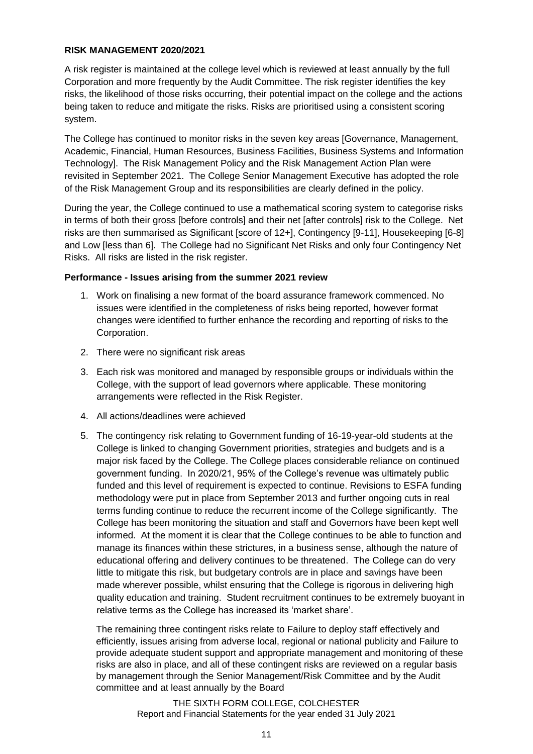### **RISK MANAGEMENT 2020/2021**

A risk register is maintained at the college level which is reviewed at least annually by the full Corporation and more frequently by the Audit Committee. The risk register identifies the key risks, the likelihood of those risks occurring, their potential impact on the college and the actions being taken to reduce and mitigate the risks. Risks are prioritised using a consistent scoring system.

The College has continued to monitor risks in the seven key areas [Governance, Management, Academic, Financial, Human Resources, Business Facilities, Business Systems and Information Technology]. The Risk Management Policy and the Risk Management Action Plan were revisited in September 2021. The College Senior Management Executive has adopted the role of the Risk Management Group and its responsibilities are clearly defined in the policy.

During the year, the College continued to use a mathematical scoring system to categorise risks in terms of both their gross [before controls] and their net [after controls] risk to the College. Net risks are then summarised as Significant [score of 12+], Contingency [9-11], Housekeeping [6-8] and Low [less than 6]. The College had no Significant Net Risks and only four Contingency Net Risks. All risks are listed in the risk register.

### **Performance - Issues arising from the summer 2021 review**

- 1. Work on finalising a new format of the board assurance framework commenced. No issues were identified in the completeness of risks being reported, however format changes were identified to further enhance the recording and reporting of risks to the Corporation.
- 2. There were no significant risk areas
- 3. Each risk was monitored and managed by responsible groups or individuals within the College, with the support of lead governors where applicable. These monitoring arrangements were reflected in the Risk Register.
- 4. All actions/deadlines were achieved
- 5. The contingency risk relating to Government funding of 16-19-year-old students at the College is linked to changing Government priorities, strategies and budgets and is a major risk faced by the College. The College places considerable reliance on continued government funding. In 2020/21, 95% of the College's revenue was ultimately public funded and this level of requirement is expected to continue. Revisions to ESFA funding methodology were put in place from September 2013 and further ongoing cuts in real terms funding continue to reduce the recurrent income of the College significantly. The College has been monitoring the situation and staff and Governors have been kept well informed. At the moment it is clear that the College continues to be able to function and manage its finances within these strictures, in a business sense, although the nature of educational offering and delivery continues to be threatened. The College can do very little to mitigate this risk, but budgetary controls are in place and savings have been made wherever possible, whilst ensuring that the College is rigorous in delivering high quality education and training. Student recruitment continues to be extremely buoyant in relative terms as the College has increased its 'market share'.

The remaining three contingent risks relate to Failure to deploy staff effectively and efficiently, issues arising from adverse local, regional or national publicity and Failure to provide adequate student support and appropriate management and monitoring of these risks are also in place, and all of these contingent risks are reviewed on a regular basis by management through the Senior Management/Risk Committee and by the Audit committee and at least annually by the Board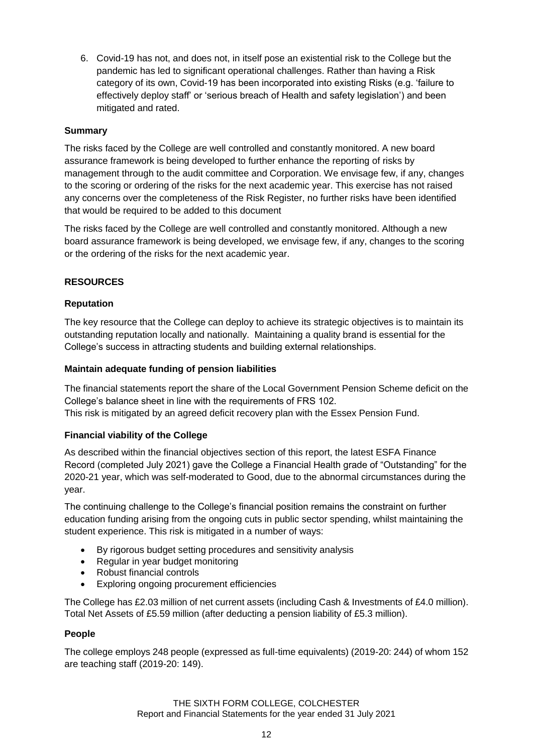6. Covid-19 has not, and does not, in itself pose an existential risk to the College but the pandemic has led to significant operational challenges. Rather than having a Risk category of its own, Covid-19 has been incorporated into existing Risks (e.g. 'failure to effectively deploy staff' or 'serious breach of Health and safety legislation') and been mitigated and rated.

### **Summary**

The risks faced by the College are well controlled and constantly monitored. A new board assurance framework is being developed to further enhance the reporting of risks by management through to the audit committee and Corporation. We envisage few, if any, changes to the scoring or ordering of the risks for the next academic year. This exercise has not raised any concerns over the completeness of the Risk Register, no further risks have been identified that would be required to be added to this document

The risks faced by the College are well controlled and constantly monitored. Although a new board assurance framework is being developed, we envisage few, if any, changes to the scoring or the ordering of the risks for the next academic year.

### **RESOURCES**

### **Reputation**

The key resource that the College can deploy to achieve its strategic objectives is to maintain its outstanding reputation locally and nationally. Maintaining a quality brand is essential for the College's success in attracting students and building external relationships.

### **Maintain adequate funding of pension liabilities**

The financial statements report the share of the Local Government Pension Scheme deficit on the College's balance sheet in line with the requirements of FRS 102. This risk is mitigated by an agreed deficit recovery plan with the Essex Pension Fund.

### **Financial viability of the College**

As described within the financial objectives section of this report, the latest ESFA Finance Record (completed July 2021) gave the College a Financial Health grade of "Outstanding" for the 2020-21 year, which was self-moderated to Good, due to the abnormal circumstances during the year.

The continuing challenge to the College's financial position remains the constraint on further education funding arising from the ongoing cuts in public sector spending, whilst maintaining the student experience. This risk is mitigated in a number of ways:

- By rigorous budget setting procedures and sensitivity analysis
- Regular in year budget monitoring
- Robust financial controls
- Exploring ongoing procurement efficiencies

The College has £2.03 million of net current assets (including Cash & Investments of £4.0 million). Total Net Assets of £5.59 million (after deducting a pension liability of £5.3 million).

### **People**

The college employs 248 people (expressed as full-time equivalents) (2019-20: 244) of whom 152 are teaching staff (2019-20: 149).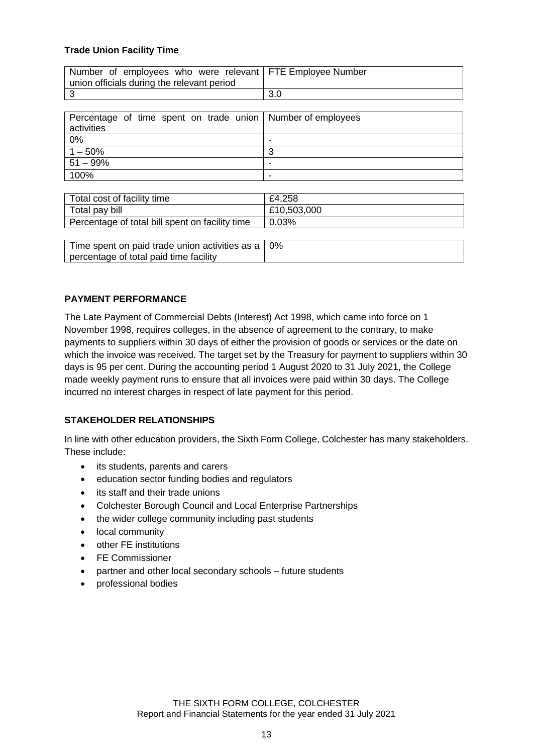### **Trade Union Facility Time**

| Number of employees who were relevant   FTE Employee Number |     |
|-------------------------------------------------------------|-----|
| union officials during the relevant period                  |     |
|                                                             | 3.0 |

| Percentage of time spent on trade union   Number of employees<br>activities |   |
|-----------------------------------------------------------------------------|---|
| 0%                                                                          | - |
| $1 - 50%$                                                                   | ◠ |
| $51 - 99%$                                                                  | - |
| 100%                                                                        | - |

| Total cost of facility time                     | £4,258      |
|-------------------------------------------------|-------------|
| Total pay bill                                  | £10,503,000 |
| Percentage of total bill spent on facility time | $0.03\%$    |

| Time spent on paid trade union activities as a   0% |  |
|-----------------------------------------------------|--|
| percentage of total paid time facility              |  |

### **PAYMENT PERFORMANCE**

The Late Payment of Commercial Debts (Interest) Act 1998, which came into force on 1 November 1998, requires colleges, in the absence of agreement to the contrary, to make payments to suppliers within 30 days of either the provision of goods or services or the date on which the invoice was received. The target set by the Treasury for payment to suppliers within 30 days is 95 per cent. During the accounting period 1 August 2020 to 31 July 2021, the College made weekly payment runs to ensure that all invoices were paid within 30 days. The College incurred no interest charges in respect of late payment for this period.

### **STAKEHOLDER RELATIONSHIPS**

In line with other education providers, the Sixth Form College, Colchester has many stakeholders. These include:

- its students, parents and carers
- education sector funding bodies and regulators
- its staff and their trade unions
- Colchester Borough Council and Local Enterprise Partnerships
- the wider college community including past students
- local community
- other FE institutions
- FE Commissioner
- partner and other local secondary schools future students
- professional bodies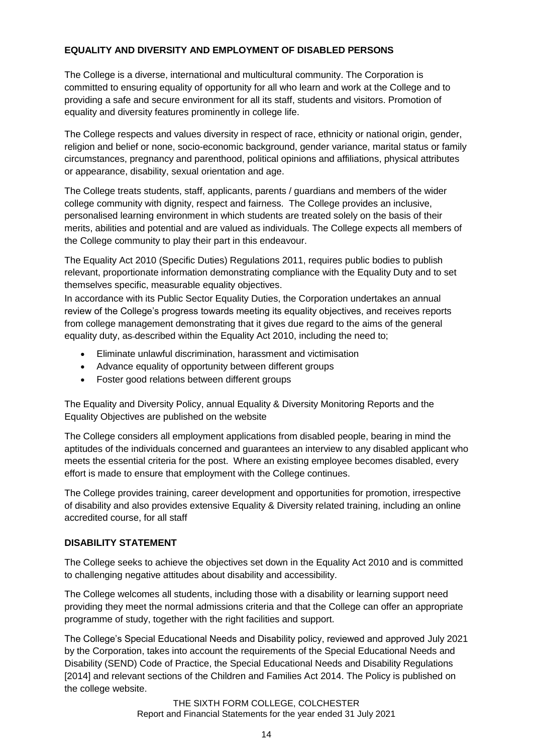### **EQUALITY AND DIVERSITY AND EMPLOYMENT OF DISABLED PERSONS**

The College is a diverse, international and multicultural community. The Corporation is committed to ensuring equality of opportunity for all who learn and work at the College and to providing a safe and secure environment for all its staff, students and visitors. Promotion of equality and diversity features prominently in college life.

The College respects and values diversity in respect of race, ethnicity or national origin, gender, religion and belief or none, socio-economic background, gender variance, marital status or family circumstances, pregnancy and parenthood, political opinions and affiliations, physical attributes or appearance, disability, sexual orientation and age.

The College treats students, staff, applicants, parents / guardians and members of the wider college community with dignity, respect and fairness. The College provides an inclusive, personalised learning environment in which students are treated solely on the basis of their merits, abilities and potential and are valued as individuals. The College expects all members of the College community to play their part in this endeavour.

The Equality Act 2010 (Specific Duties) Regulations 2011, requires public bodies to publish relevant, proportionate information demonstrating compliance with the Equality Duty and to set themselves specific, measurable equality objectives.

In accordance with its Public Sector Equality Duties, the Corporation undertakes an annual review of the College's progress towards meeting its equality objectives, and receives reports from college management demonstrating that it gives due regard to the aims of the general equality duty, as-described within the Equality Act 2010, including the need to;

- Eliminate unlawful discrimination, harassment and victimisation
- Advance equality of opportunity between different groups
- Foster good relations between different groups

The Equality and Diversity Policy, annual Equality & Diversity Monitoring Reports and the Equality Objectives are published on the website

The College considers all employment applications from disabled people, bearing in mind the aptitudes of the individuals concerned and guarantees an interview to any disabled applicant who meets the essential criteria for the post. Where an existing employee becomes disabled, every effort is made to ensure that employment with the College continues.

The College provides training, career development and opportunities for promotion, irrespective of disability and also provides extensive Equality & Diversity related training, including an online accredited course, for all staff

# **DISABILITY STATEMENT**

The College seeks to achieve the objectives set down in the Equality Act 2010 and is committed to challenging negative attitudes about disability and accessibility.

The College welcomes all students, including those with a disability or learning support need providing they meet the normal admissions criteria and that the College can offer an appropriate programme of study, together with the right facilities and support.

The College's Special Educational Needs and Disability policy, reviewed and approved July 2021 by the Corporation, takes into account the requirements of the Special Educational Needs and Disability (SEND) Code of Practice, the Special Educational Needs and Disability Regulations [2014] and relevant sections of the Children and Families Act 2014. The Policy is published on the college website.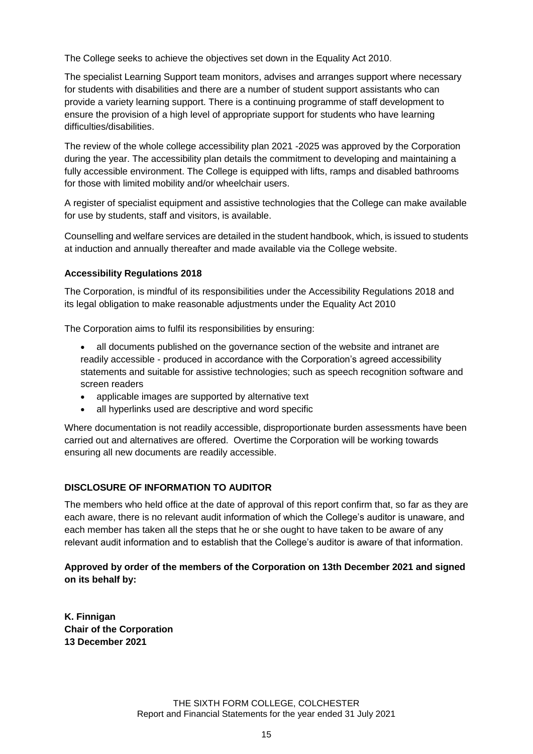The College seeks to achieve the objectives set down in the Equality Act 2010.

The specialist Learning Support team monitors, advises and arranges support where necessary for students with disabilities and there are a number of student support assistants who can provide a variety learning support. There is a continuing programme of staff development to ensure the provision of a high level of appropriate support for students who have learning difficulties/disabilities.

The review of the whole college accessibility plan 2021 -2025 was approved by the Corporation during the year. The accessibility plan details the commitment to developing and maintaining a fully accessible environment. The College is equipped with lifts, ramps and disabled bathrooms for those with limited mobility and/or wheelchair users.

A register of specialist equipment and assistive technologies that the College can make available for use by students, staff and visitors, is available.

Counselling and welfare services are detailed in the student handbook, which, is issued to students at induction and annually thereafter and made available via the College website.

### **Accessibility Regulations 2018**

The Corporation, is mindful of its responsibilities under the Accessibility Regulations 2018 and its legal obligation to make reasonable adjustments under the Equality Act 2010

The Corporation aims to fulfil its responsibilities by ensuring:

- all documents published on the governance section of the website and intranet are readily accessible - produced in accordance with the Corporation's agreed accessibility statements and suitable for assistive technologies; such as speech recognition software and screen readers
- applicable images are supported by alternative text
- all hyperlinks used are descriptive and word specific

Where documentation is not readily accessible, disproportionate burden assessments have been carried out and alternatives are offered. Overtime the Corporation will be working towards ensuring all new documents are readily accessible.

### **DISCLOSURE OF INFORMATION TO AUDITOR**

The members who held office at the date of approval of this report confirm that, so far as they are each aware, there is no relevant audit information of which the College's auditor is unaware, and each member has taken all the steps that he or she ought to have taken to be aware of any relevant audit information and to establish that the College's auditor is aware of that information.

**Approved by order of the members of the Corporation on 13th December 2021 and signed on its behalf by:**

**K. Finnigan Chair of the Corporation 13 December 2021**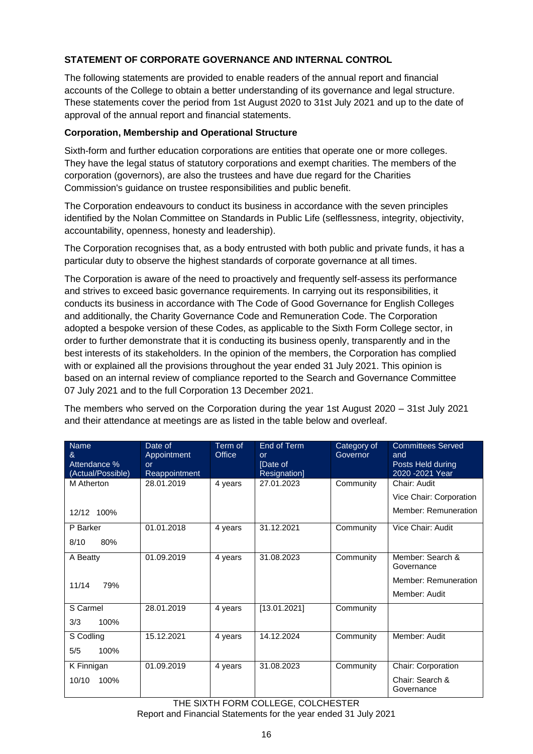# **STATEMENT OF CORPORATE GOVERNANCE AND INTERNAL CONTROL**

The following statements are provided to enable readers of the annual report and financial accounts of the College to obtain a better understanding of its governance and legal structure. These statements cover the period from 1st August 2020 to 31st July 2021 and up to the date of approval of the annual report and financial statements.

### **Corporation, Membership and Operational Structure**

Sixth-form and further education corporations are entities that operate one or more colleges. They have the legal status of statutory corporations and exempt charities. The members of the corporation (governors), are also the trustees and have due regard for the Charities Commission's guidance on trustee responsibilities and public benefit.

The Corporation endeavours to conduct its business in accordance with the seven principles identified by the Nolan Committee on Standards in Public Life (selflessness, integrity, objectivity, accountability, openness, honesty and leadership).

The Corporation recognises that, as a body entrusted with both public and private funds, it has a particular duty to observe the highest standards of corporate governance at all times.

The Corporation is aware of the need to proactively and frequently self-assess its performance and strives to exceed basic governance requirements. In carrying out its responsibilities, it conducts its business in accordance with The Code of Good Governance for English Colleges and additionally, the Charity Governance Code and Remuneration Code. The Corporation adopted a bespoke version of these Codes, as applicable to the Sixth Form College sector, in order to further demonstrate that it is conducting its business openly, transparently and in the best interests of its stakeholders. In the opinion of the members, the Corporation has complied with or explained all the provisions throughout the year ended 31 July 2021. This opinion is based on an internal review of compliance reported to the Search and Governance Committee 07 July 2021 and to the full Corporation 13 December 2021.

The members who served on the Corporation during the year 1st August 2020 – 31st July 2021 and their attendance at meetings are as listed in the table below and overleaf.

| <b>Name</b><br>&<br>Attendance %<br>(Actual/Possible) | Date of<br>Appointment<br><b>or</b><br>Reappointment | Term of<br><b>Office</b> | End of Term<br><b>or</b><br>[Date of<br>Resignation] | Category of<br>Governor | <b>Committees Served</b><br>and<br>Posts Held during<br>2020 - 2021 Year |
|-------------------------------------------------------|------------------------------------------------------|--------------------------|------------------------------------------------------|-------------------------|--------------------------------------------------------------------------|
| M Atherton                                            | 28.01.2019                                           | 4 years                  | 27.01.2023                                           | Community               | Chair: Audit<br>Vice Chair: Corporation                                  |
| 12/12 100%                                            |                                                      |                          |                                                      |                         | Member: Remuneration                                                     |
| P Barker<br>80%<br>8/10                               | 01.01.2018                                           | 4 years                  | 31.12.2021                                           | Community               | Vice Chair: Audit                                                        |
| A Beatty                                              | 01.09.2019                                           | 4 years                  | 31.08.2023                                           | Community               | Member: Search &<br>Governance                                           |
| 79%<br>11/14                                          |                                                      |                          |                                                      |                         | Member: Remuneration<br>Member: Audit                                    |
| S Carmel                                              | 28.01.2019                                           | 4 years                  | [13.01.2021]                                         | Community               |                                                                          |
| 100%<br>3/3                                           |                                                      |                          |                                                      |                         |                                                                          |
| S Codling                                             | 15.12.2021                                           | 4 years                  | 14.12.2024                                           | Community               | Member: Audit                                                            |
| 100%<br>5/5                                           |                                                      |                          |                                                      |                         |                                                                          |
| K Finnigan                                            | 01.09.2019                                           | 4 years                  | 31.08.2023                                           | Community               | Chair: Corporation                                                       |
| 10/10<br>100%                                         |                                                      |                          |                                                      |                         | Chair: Search &<br>Governance                                            |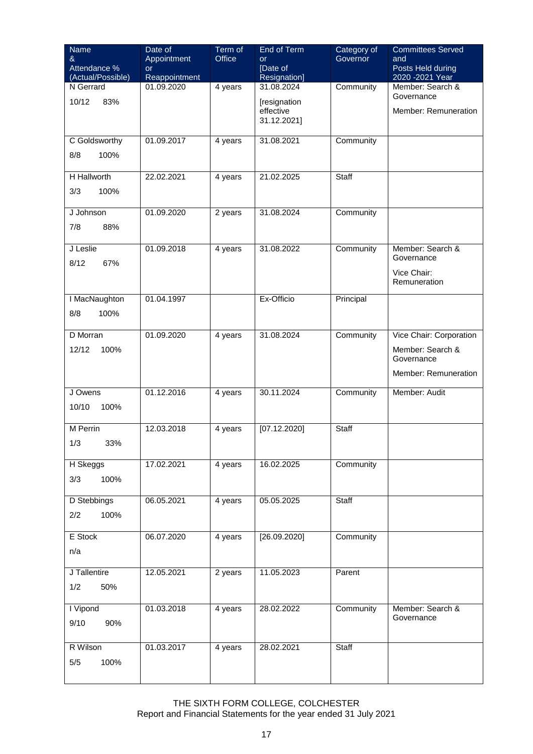| Name<br>$\alpha$        | Date of<br>Appointment | Term of<br>Office | End of Term<br><b>or</b>                 | Category of<br>Governor | <b>Committees Served</b><br>and |
|-------------------------|------------------------|-------------------|------------------------------------------|-------------------------|---------------------------------|
| Attendance %            | <b>or</b>              |                   | [Date of                                 |                         | Posts Held during               |
| (Actual/Possible)       | Reappointment          |                   | Resignation]                             |                         | 2020 - 2021 Year                |
| N Gerrard               | 01.09.2020             | 4 years           | 31.08.2024                               | Community               | Member: Search &<br>Governance  |
| 10/12<br>83%            |                        |                   | [resignation<br>effective<br>31.12.2021] |                         | Member: Remuneration            |
| C Goldsworthy           | 01.09.2017             | 4 years           | 31.08.2021                               | Community               |                                 |
| 100%<br>8/8             |                        |                   |                                          |                         |                                 |
| H Hallworth             | 22.02.2021             | 4 years           | 21.02.2025                               | Staff                   |                                 |
| 3/3<br>100%             |                        |                   |                                          |                         |                                 |
| J Johnson               | 01.09.2020             | 2 years           | 31.08.2024                               | Community               |                                 |
| 7/8<br>88%              |                        |                   |                                          |                         |                                 |
| J Leslie<br>8/12<br>67% | 01.09.2018             | 4 years           | 31.08.2022                               | Community               | Member: Search &<br>Governance  |
|                         |                        |                   |                                          |                         | Vice Chair:<br>Remuneration     |
| I MacNaughton           | 01.04.1997             |                   | Ex-Officio                               | Principal               |                                 |
| 8/8<br>100%             |                        |                   |                                          |                         |                                 |
| D Morran                | 01.09.2020             | 4 years           | 31.08.2024                               | Community               | Vice Chair: Corporation         |
| 12/12<br>100%           |                        |                   |                                          |                         | Member: Search &<br>Governance  |
|                         |                        |                   |                                          |                         | Member: Remuneration            |
| J Owens                 | 01.12.2016             | 4 years           | 30.11.2024                               | Community               | Member: Audit                   |
| 10/10<br>100%           |                        |                   |                                          |                         |                                 |
| M Perrin                | 12.03.2018             | 4 years           | [07.12.2020]                             | Staff                   |                                 |
| 1/3<br>33%              |                        |                   |                                          |                         |                                 |
| H Skeggs                | 17.02.2021             | 4 years           | 16.02.2025                               | Community               |                                 |
| 100%<br>3/3             |                        |                   |                                          |                         |                                 |
| D Stebbings             | 06.05.2021             | 4 years           | 05.05.2025                               | Staff                   |                                 |
| 100%<br>2/2             |                        |                   |                                          |                         |                                 |
| E Stock                 | 06.07.2020             | 4 years           | [26.09.2020]                             | Community               |                                 |
| n/a                     |                        |                   |                                          |                         |                                 |
| J Tallentire            | 12.05.2021             | 2 years           | 11.05.2023                               | Parent                  |                                 |
| 50%<br>1/2              |                        |                   |                                          |                         |                                 |
| I Vipond                | 01.03.2018             | 4 years           | 28.02.2022                               | Community               | Member: Search &<br>Governance  |
| 9/10<br>90%             |                        |                   |                                          |                         |                                 |
| R Wilson                | 01.03.2017             | 4 years           | 28.02.2021                               | Staff                   |                                 |
| 100%<br>5/5             |                        |                   |                                          |                         |                                 |
|                         |                        |                   |                                          |                         |                                 |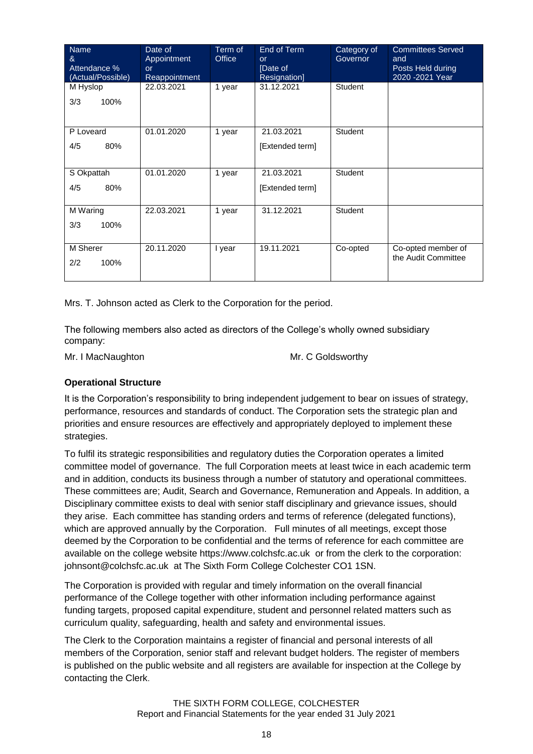| <b>Name</b><br>$\alpha$<br>Attendance %<br>(Actual/Possible) | Date of<br>Appointment<br>or<br>Reappointment | Term of<br>Office | End of Term<br>or<br>[Date of<br>Resignation] | Category of<br>Governor | <b>Committees Served</b><br>and<br>Posts Held during<br>2020 - 2021 Year |
|--------------------------------------------------------------|-----------------------------------------------|-------------------|-----------------------------------------------|-------------------------|--------------------------------------------------------------------------|
| M Hyslop<br>100%<br>3/3                                      | 22.03.2021                                    | 1 year            | 31.12.2021                                    | Student                 |                                                                          |
| P Loveard<br>80%<br>4/5                                      | 01.01.2020                                    | 1 year            | 21.03.2021<br>[Extended term]                 | <b>Student</b>          |                                                                          |
| S Okpattah<br>80%<br>4/5                                     | 01.01.2020                                    | 1 year            | 21.03.2021<br>[Extended term]                 | <b>Student</b>          |                                                                          |
| M Waring<br>3/3<br>100%                                      | 22.03.2021                                    | 1 year            | 31.12.2021                                    | Student                 |                                                                          |
| M Sherer<br>2/2<br>100%                                      | 20.11.2020                                    | I year            | 19.11.2021                                    | Co-opted                | Co-opted member of<br>the Audit Committee                                |

Mrs. T. Johnson acted as Clerk to the Corporation for the period.

The following members also acted as directors of the College's wholly owned subsidiary company:

Mr. I MacNaughton Mr. C Goldsworthy

### **Operational Structure**

It is the Corporation's responsibility to bring independent judgement to bear on issues of strategy, performance, resources and standards of conduct. The Corporation sets the strategic plan and priorities and ensure resources are effectively and appropriately deployed to implement these strategies.

To fulfil its strategic responsibilities and regulatory duties the Corporation operates a limited committee model of governance. The full Corporation meets at least twice in each academic term and in addition, conducts its business through a number of statutory and operational committees. These committees are; Audit, Search and Governance, Remuneration and Appeals. In addition, a Disciplinary committee exists to deal with senior staff disciplinary and grievance issues, should they arise. Each committee has standing orders and terms of reference (delegated functions), which are approved annually by the Corporation. Full minutes of all meetings, except those deemed by the Corporation to be confidential and the terms of reference for each committee are available on the college website [https://www.colchsfc.ac.uk](https://www.colchsfc.ac.uk/) or from the clerk to the corporation: [johnsont@colchsfc.ac.uk](mailto:johnsont@colchsfc.ac.uk) at The Sixth Form College Colchester CO1 1SN.

The Corporation is provided with regular and timely information on the overall financial performance of the College together with other information including performance against funding targets, proposed capital expenditure, student and personnel related matters such as curriculum quality, safeguarding, health and safety and environmental issues.

The Clerk to the Corporation maintains a register of financial and personal interests of all members of the Corporation, senior staff and relevant budget holders. The register of members is published on the public website and all registers are available for inspection at the College by contacting the Clerk.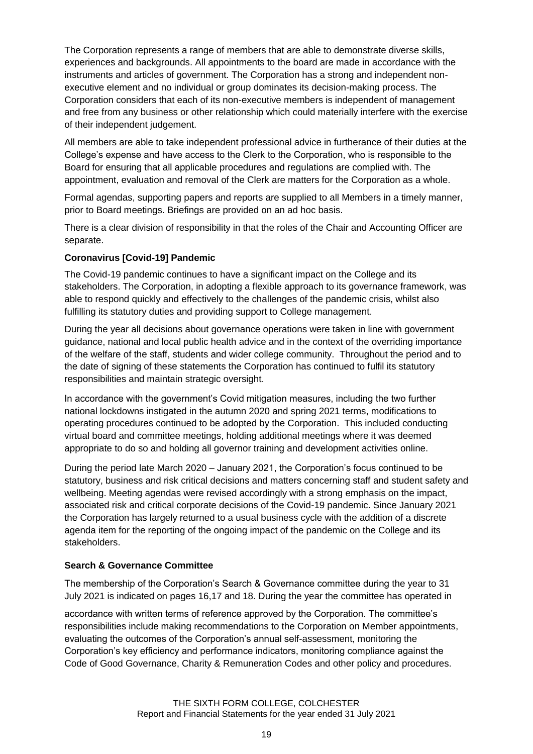The Corporation represents a range of members that are able to demonstrate diverse skills, experiences and backgrounds. All appointments to the board are made in accordance with the instruments and articles of government. The Corporation has a strong and independent nonexecutive element and no individual or group dominates its decision-making process. The Corporation considers that each of its non-executive members is independent of management and free from any business or other relationship which could materially interfere with the exercise of their independent judgement.

All members are able to take independent professional advice in furtherance of their duties at the College's expense and have access to the Clerk to the Corporation, who is responsible to the Board for ensuring that all applicable procedures and regulations are complied with. The appointment, evaluation and removal of the Clerk are matters for the Corporation as a whole.

Formal agendas, supporting papers and reports are supplied to all Members in a timely manner, prior to Board meetings. Briefings are provided on an ad hoc basis.

There is a clear division of responsibility in that the roles of the Chair and Accounting Officer are separate.

### **Coronavirus [Covid-19] Pandemic**

The Covid-19 pandemic continues to have a significant impact on the College and its stakeholders. The Corporation, in adopting a flexible approach to its governance framework, was able to respond quickly and effectively to the challenges of the pandemic crisis, whilst also fulfilling its statutory duties and providing support to College management.

During the year all decisions about governance operations were taken in line with government guidance, national and local public health advice and in the context of the overriding importance of the welfare of the staff, students and wider college community. Throughout the period and to the date of signing of these statements the Corporation has continued to fulfil its statutory responsibilities and maintain strategic oversight.

In accordance with the government's Covid mitigation measures, including the two further national lockdowns instigated in the autumn 2020 and spring 2021 terms, modifications to operating procedures continued to be adopted by the Corporation. This included conducting virtual board and committee meetings, holding additional meetings where it was deemed appropriate to do so and holding all governor training and development activities online.

During the period late March 2020 – January 2021, the Corporation's focus continued to be statutory, business and risk critical decisions and matters concerning staff and student safety and wellbeing. Meeting agendas were revised accordingly with a strong emphasis on the impact, associated risk and critical corporate decisions of the Covid-19 pandemic. Since January 2021 the Corporation has largely returned to a usual business cycle with the addition of a discrete agenda item for the reporting of the ongoing impact of the pandemic on the College and its stakeholders.

### **Search & Governance Committee**

The membership of the Corporation's Search & Governance committee during the year to 31 July 2021 is indicated on pages 16,17 and 18. During the year the committee has operated in

accordance with written terms of reference approved by the Corporation. The committee's responsibilities include making recommendations to the Corporation on Member appointments, evaluating the outcomes of the Corporation's annual self-assessment, monitoring the Corporation's key efficiency and performance indicators, monitoring compliance against the Code of Good Governance, Charity & Remuneration Codes and other policy and procedures.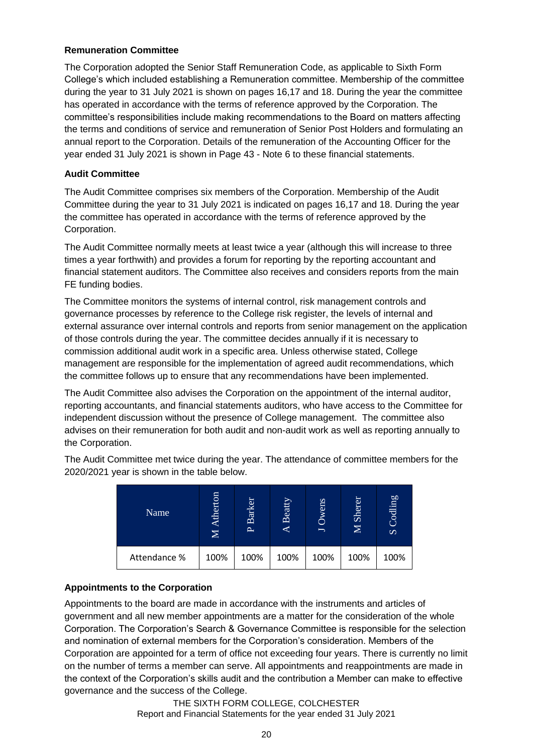### **Remuneration Committee**

The Corporation adopted the Senior Staff Remuneration Code, as applicable to Sixth Form College's which included establishing a Remuneration committee. Membership of the committee during the year to 31 July 2021 is shown on pages 16,17 and 18. During the year the committee has operated in accordance with the terms of reference approved by the Corporation. The committee's responsibilities include making recommendations to the Board on matters affecting the terms and conditions of service and remuneration of Senior Post Holders and formulating an annual report to the Corporation. Details of the remuneration of the Accounting Officer for the year ended 31 July 2021 is shown in Page 43 - Note 6 to these financial statements.

### **Audit Committee**

The Audit Committee comprises six members of the Corporation. Membership of the Audit Committee during the year to 31 July 2021 is indicated on pages 16,17 and 18. During the year the committee has operated in accordance with the terms of reference approved by the Corporation.

The Audit Committee normally meets at least twice a year (although this will increase to three times a year forthwith) and provides a forum for reporting by the reporting accountant and financial statement auditors. The Committee also receives and considers reports from the main FE funding bodies.

The Committee monitors the systems of internal control, risk management controls and governance processes by reference to the College risk register, the levels of internal and external assurance over internal controls and reports from senior management on the application of those controls during the year. The committee decides annually if it is necessary to commission additional audit work in a specific area. Unless otherwise stated, College management are responsible for the implementation of agreed audit recommendations, which the committee follows up to ensure that any recommendations have been implemented.

The Audit Committee also advises the Corporation on the appointment of the internal auditor, reporting accountants, and financial statements auditors, who have access to the Committee for independent discussion without the presence of College management. The committee also advises on their remuneration for both audit and non-audit work as well as reporting annually to the Corporation.

The Audit Committee met twice during the year. The attendance of committee members for the 2020/2021 year is shown in the table below.

| Name         |      | 5<br>$B$ arl<br>$\mathbf{r}$ | <b>Beatt</b> | wens<br>O<br>$\overline{\phantom{0}}$ | S <sub>h</sub> | Codling<br>$\boldsymbol{\Omega}$ |
|--------------|------|------------------------------|--------------|---------------------------------------|----------------|----------------------------------|
| Attendance % | 100% | 100%                         | 100%         | 100%                                  | 100%           | 100%                             |

# **Appointments to the Corporation**

Appointments to the board are made in accordance with the instruments and articles of government and all new member appointments are a matter for the consideration of the whole Corporation. The Corporation's Search & Governance Committee is responsible for the selection and nomination of external members for the Corporation's consideration. Members of the Corporation are appointed for a term of office not exceeding four years. There is currently no limit on the number of terms a member can serve. All appointments and reappointments are made in the context of the Corporation's skills audit and the contribution a Member can make to effective governance and the success of the College.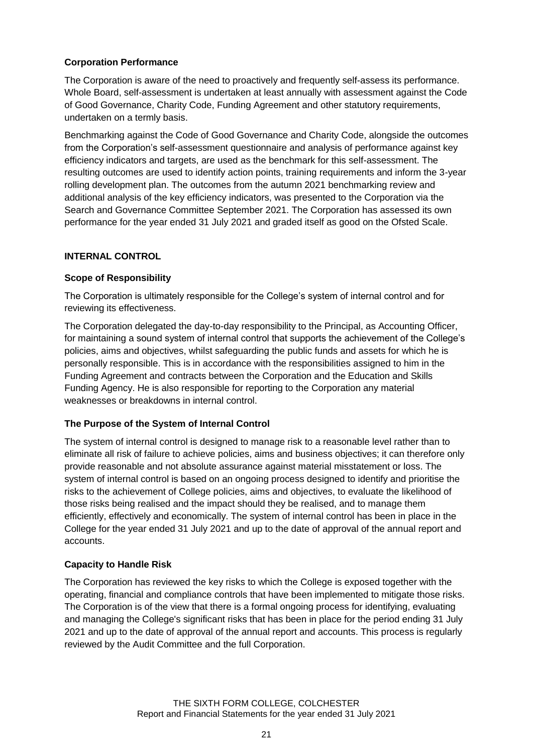### **Corporation Performance**

The Corporation is aware of the need to proactively and frequently self-assess its performance. Whole Board, self-assessment is undertaken at least annually with assessment against the Code of Good Governance, Charity Code, Funding Agreement and other statutory requirements, undertaken on a termly basis.

Benchmarking against the Code of Good Governance and Charity Code, alongside the outcomes from the Corporation's self-assessment questionnaire and analysis of performance against key efficiency indicators and targets, are used as the benchmark for this self-assessment. The resulting outcomes are used to identify action points, training requirements and inform the 3-year rolling development plan. The outcomes from the autumn 2021 benchmarking review and additional analysis of the key efficiency indicators, was presented to the Corporation via the Search and Governance Committee September 2021. The Corporation has assessed its own performance for the year ended 31 July 2021 and graded itself as good on the Ofsted Scale.

### **INTERNAL CONTROL**

### **Scope of Responsibility**

The Corporation is ultimately responsible for the College's system of internal control and for reviewing its effectiveness.

The Corporation delegated the day-to-day responsibility to the Principal, as Accounting Officer, for maintaining a sound system of internal control that supports the achievement of the College's policies, aims and objectives, whilst safeguarding the public funds and assets for which he is personally responsible. This is in accordance with the responsibilities assigned to him in the Funding Agreement and contracts between the Corporation and the Education and Skills Funding Agency. He is also responsible for reporting to the Corporation any material weaknesses or breakdowns in internal control.

# **The Purpose of the System of Internal Control**

The system of internal control is designed to manage risk to a reasonable level rather than to eliminate all risk of failure to achieve policies, aims and business objectives; it can therefore only provide reasonable and not absolute assurance against material misstatement or loss. The system of internal control is based on an ongoing process designed to identify and prioritise the risks to the achievement of College policies, aims and objectives, to evaluate the likelihood of those risks being realised and the impact should they be realised, and to manage them efficiently, effectively and economically. The system of internal control has been in place in the College for the year ended 31 July 2021 and up to the date of approval of the annual report and accounts.

### **Capacity to Handle Risk**

The Corporation has reviewed the key risks to which the College is exposed together with the operating, financial and compliance controls that have been implemented to mitigate those risks. The Corporation is of the view that there is a formal ongoing process for identifying, evaluating and managing the College's significant risks that has been in place for the period ending 31 July 2021 and up to the date of approval of the annual report and accounts. This process is regularly reviewed by the Audit Committee and the full Corporation.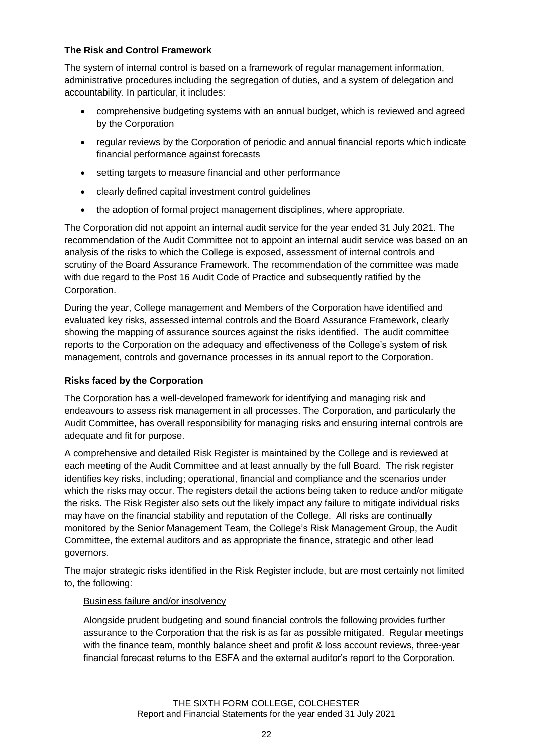### **The Risk and Control Framework**

The system of internal control is based on a framework of regular management information, administrative procedures including the segregation of duties, and a system of delegation and accountability. In particular, it includes:

- comprehensive budgeting systems with an annual budget, which is reviewed and agreed by the Corporation
- regular reviews by the Corporation of periodic and annual financial reports which indicate financial performance against forecasts
- setting targets to measure financial and other performance
- clearly defined capital investment control guidelines
- the adoption of formal project management disciplines, where appropriate.

The Corporation did not appoint an internal audit service for the year ended 31 July 2021. The recommendation of the Audit Committee not to appoint an internal audit service was based on an analysis of the risks to which the College is exposed, assessment of internal controls and scrutiny of the Board Assurance Framework. The recommendation of the committee was made with due regard to the Post 16 Audit Code of Practice and subsequently ratified by the Corporation.

During the year, College management and Members of the Corporation have identified and evaluated key risks, assessed internal controls and the Board Assurance Framework, clearly showing the mapping of assurance sources against the risks identified. The audit committee reports to the Corporation on the adequacy and effectiveness of the College's system of risk management, controls and governance processes in its annual report to the Corporation.

### **Risks faced by the Corporation**

The Corporation has a well-developed framework for identifying and managing risk and endeavours to assess risk management in all processes. The Corporation, and particularly the Audit Committee, has overall responsibility for managing risks and ensuring internal controls are adequate and fit for purpose.

A comprehensive and detailed Risk Register is maintained by the College and is reviewed at each meeting of the Audit Committee and at least annually by the full Board. The risk register identifies key risks, including; operational, financial and compliance and the scenarios under which the risks may occur. The registers detail the actions being taken to reduce and/or mitigate the risks. The Risk Register also sets out the likely impact any failure to mitigate individual risks may have on the financial stability and reputation of the College. All risks are continually monitored by the Senior Management Team, the College's Risk Management Group, the Audit Committee, the external auditors and as appropriate the finance, strategic and other lead governors.

The major strategic risks identified in the Risk Register include, but are most certainly not limited to, the following:

### Business failure and/or insolvency

Alongside prudent budgeting and sound financial controls the following provides further assurance to the Corporation that the risk is as far as possible mitigated. Regular meetings with the finance team, monthly balance sheet and profit & loss account reviews, three-year financial forecast returns to the ESFA and the external auditor's report to the Corporation.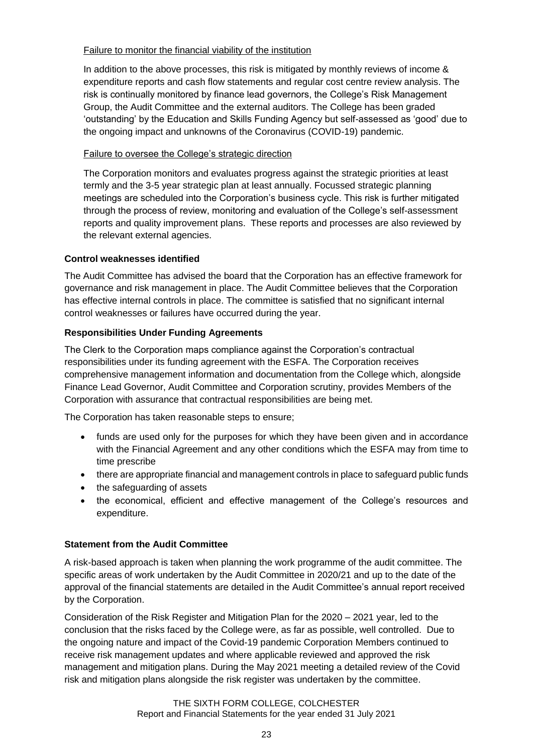### Failure to monitor the financial viability of the institution

In addition to the above processes, this risk is mitigated by monthly reviews of income & expenditure reports and cash flow statements and regular cost centre review analysis. The risk is continually monitored by finance lead governors, the College's Risk Management Group, the Audit Committee and the external auditors. The College has been graded 'outstanding' by the Education and Skills Funding Agency but self-assessed as 'good' due to the ongoing impact and unknowns of the Coronavirus (COVID-19) pandemic.

### Failure to oversee the College's strategic direction

The Corporation monitors and evaluates progress against the strategic priorities at least termly and the 3-5 year strategic plan at least annually. Focussed strategic planning meetings are scheduled into the Corporation's business cycle. This risk is further mitigated through the process of review, monitoring and evaluation of the College's self-assessment reports and quality improvement plans. These reports and processes are also reviewed by the relevant external agencies.

### **Control weaknesses identified**

The Audit Committee has advised the board that the Corporation has an effective framework for governance and risk management in place. The Audit Committee believes that the Corporation has effective internal controls in place. The committee is satisfied that no significant internal control weaknesses or failures have occurred during the year.

### **Responsibilities Under Funding Agreements**

The Clerk to the Corporation maps compliance against the Corporation's contractual responsibilities under its funding agreement with the ESFA. The Corporation receives comprehensive management information and documentation from the College which, alongside Finance Lead Governor, Audit Committee and Corporation scrutiny, provides Members of the Corporation with assurance that contractual responsibilities are being met.

The Corporation has taken reasonable steps to ensure;

- funds are used only for the purposes for which they have been given and in accordance with the Financial Agreement and any other conditions which the ESFA may from time to time prescribe
- there are appropriate financial and management controls in place to safeguard public funds
- the safeguarding of assets
- the economical, efficient and effective management of the College's resources and expenditure.

### **Statement from the Audit Committee**

A risk-based approach is taken when planning the work programme of the audit committee. The specific areas of work undertaken by the Audit Committee in 2020/21 and up to the date of the approval of the financial statements are detailed in the Audit Committee's annual report received by the Corporation.

Consideration of the Risk Register and Mitigation Plan for the 2020 – 2021 year, led to the conclusion that the risks faced by the College were, as far as possible, well controlled. Due to the ongoing nature and impact of the Covid-19 pandemic Corporation Members continued to receive risk management updates and where applicable reviewed and approved the risk management and mitigation plans. During the May 2021 meeting a detailed review of the Covid risk and mitigation plans alongside the risk register was undertaken by the committee.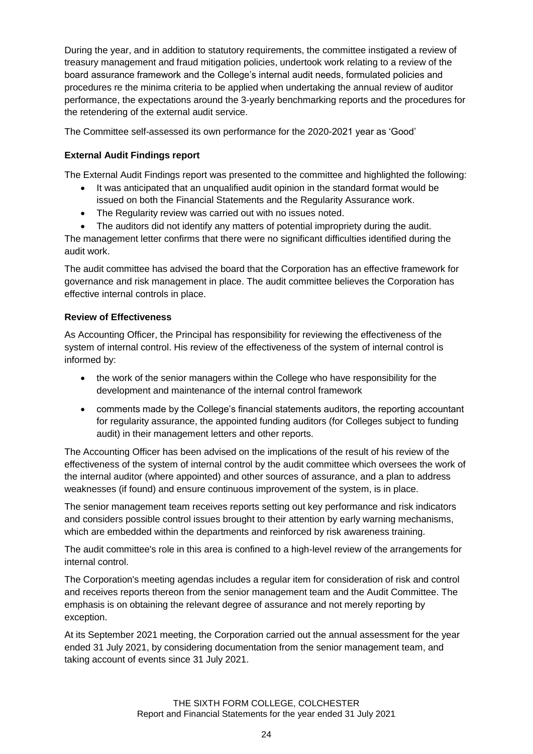During the year, and in addition to statutory requirements, the committee instigated a review of treasury management and fraud mitigation policies, undertook work relating to a review of the board assurance framework and the College's internal audit needs, formulated policies and procedures re the minima criteria to be applied when undertaking the annual review of auditor performance, the expectations around the 3-yearly benchmarking reports and the procedures for the retendering of the external audit service.

The Committee self-assessed its own performance for the 2020-2021 year as 'Good'

# **External Audit Findings report**

The External Audit Findings report was presented to the committee and highlighted the following:

- It was anticipated that an unqualified audit opinion in the standard format would be issued on both the Financial Statements and the Regularity Assurance work.
- The Regularity review was carried out with no issues noted.
- The auditors did not identify any matters of potential impropriety during the audit.

The management letter confirms that there were no significant difficulties identified during the audit work.

The audit committee has advised the board that the Corporation has an effective framework for governance and risk management in place. The audit committee believes the Corporation has effective internal controls in place.

### **Review of Effectiveness**

As Accounting Officer, the Principal has responsibility for reviewing the effectiveness of the system of internal control. His review of the effectiveness of the system of internal control is informed by:

- the work of the senior managers within the College who have responsibility for the development and maintenance of the internal control framework
- comments made by the College's financial statements auditors, the reporting accountant for regularity assurance, the appointed funding auditors (for Colleges subject to funding audit) in their management letters and other reports.

The Accounting Officer has been advised on the implications of the result of his review of the effectiveness of the system of internal control by the audit committee which oversees the work of the internal auditor (where appointed) and other sources of assurance, and a plan to address weaknesses (if found) and ensure continuous improvement of the system, is in place.

The senior management team receives reports setting out key performance and risk indicators and considers possible control issues brought to their attention by early warning mechanisms, which are embedded within the departments and reinforced by risk awareness training.

The audit committee's role in this area is confined to a high-level review of the arrangements for internal control.

The Corporation's meeting agendas includes a regular item for consideration of risk and control and receives reports thereon from the senior management team and the Audit Committee. The emphasis is on obtaining the relevant degree of assurance and not merely reporting by exception.

At its September 2021 meeting, the Corporation carried out the annual assessment for the year ended 31 July 2021, by considering documentation from the senior management team, and taking account of events since 31 July 2021.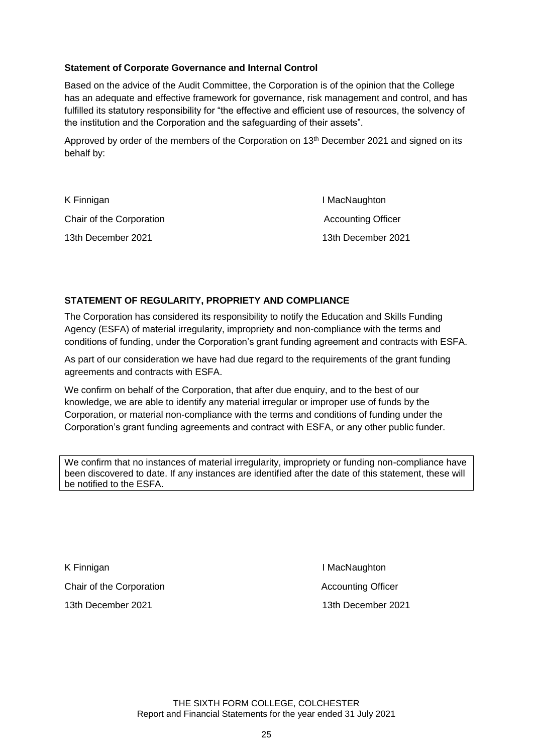### **Statement of Corporate Governance and Internal Control**

Based on the advice of the Audit Committee, the Corporation is of the opinion that the College has an adequate and effective framework for governance, risk management and control, and has fulfilled its statutory responsibility for "the effective and efficient use of resources, the solvency of the institution and the Corporation and the safeguarding of their assets".

Approved by order of the members of the Corporation on 13<sup>th</sup> December 2021 and signed on its behalf by:

| K Finnigan               | I MacNaughton             |
|--------------------------|---------------------------|
| Chair of the Corporation | <b>Accounting Officer</b> |
| 13th December 2021       | 13th December 2021        |

### **STATEMENT OF REGULARITY, PROPRIETY AND COMPLIANCE**

The Corporation has considered its responsibility to notify the Education and Skills Funding Agency (ESFA) of material irregularity, impropriety and non-compliance with the terms and conditions of funding, under the Corporation's grant funding agreement and contracts with ESFA.

As part of our consideration we have had due regard to the requirements of the grant funding agreements and contracts with ESFA.

We confirm on behalf of the Corporation, that after due enquiry, and to the best of our knowledge, we are able to identify any material irregular or improper use of funds by the Corporation, or material non-compliance with the terms and conditions of funding under the Corporation's grant funding agreements and contract with ESFA, or any other public funder.

We confirm that no instances of material irregularity, impropriety or funding non-compliance have been discovered to date. If any instances are identified after the date of this statement, these will be notified to the ESFA.

K Finnigan **I MacNaughton** I MacNaughton Chair of the Corporation **Accounting Officer** Accounting Officer 13th December 2021 13th December 2021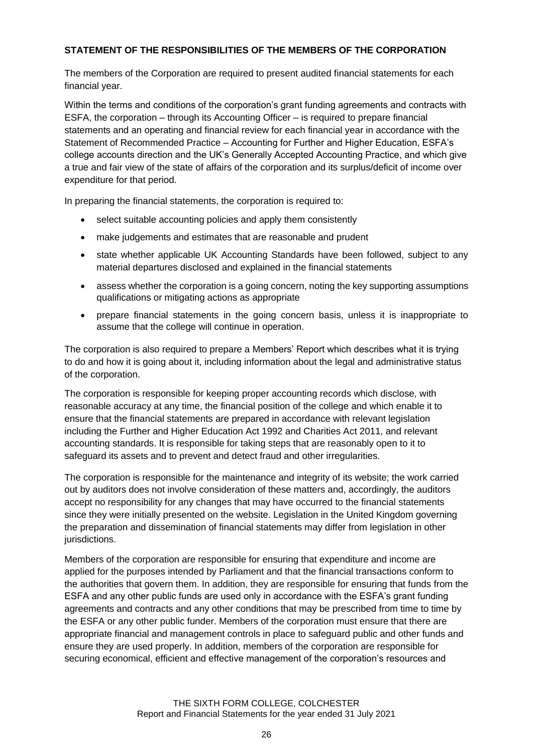### **STATEMENT OF THE RESPONSIBILITIES OF THE MEMBERS OF THE CORPORATION**

The members of the Corporation are required to present audited financial statements for each financial year.

Within the terms and conditions of the corporation's grant funding agreements and contracts with ESFA, the corporation – through its Accounting Officer – is required to prepare financial statements and an operating and financial review for each financial year in accordance with the Statement of Recommended Practice – Accounting for Further and Higher Education, ESFA's college accounts direction and the UK's Generally Accepted Accounting Practice, and which give a true and fair view of the state of affairs of the corporation and its surplus/deficit of income over expenditure for that period.

In preparing the financial statements, the corporation is required to:

- select suitable accounting policies and apply them consistently
- make judgements and estimates that are reasonable and prudent
- state whether applicable UK Accounting Standards have been followed, subject to any material departures disclosed and explained in the financial statements
- assess whether the corporation is a going concern, noting the key supporting assumptions qualifications or mitigating actions as appropriate
- prepare financial statements in the going concern basis, unless it is inappropriate to assume that the college will continue in operation.

The corporation is also required to prepare a Members' Report which describes what it is trying to do and how it is going about it, including information about the legal and administrative status of the corporation.

The corporation is responsible for keeping proper accounting records which disclose, with reasonable accuracy at any time, the financial position of the college and which enable it to ensure that the financial statements are prepared in accordance with relevant legislation including the Further and Higher Education Act 1992 and Charities Act 2011, and relevant accounting standards. It is responsible for taking steps that are reasonably open to it to safeguard its assets and to prevent and detect fraud and other irregularities.

The corporation is responsible for the maintenance and integrity of its website; the work carried out by auditors does not involve consideration of these matters and, accordingly, the auditors accept no responsibility for any changes that may have occurred to the financial statements since they were initially presented on the website. Legislation in the United Kingdom governing the preparation and dissemination of financial statements may differ from legislation in other jurisdictions.

Members of the corporation are responsible for ensuring that expenditure and income are applied for the purposes intended by Parliament and that the financial transactions conform to the authorities that govern them. In addition, they are responsible for ensuring that funds from the ESFA and any other public funds are used only in accordance with the ESFA's grant funding agreements and contracts and any other conditions that may be prescribed from time to time by the ESFA or any other public funder. Members of the corporation must ensure that there are appropriate financial and management controls in place to safeguard public and other funds and ensure they are used properly. In addition, members of the corporation are responsible for securing economical, efficient and effective management of the corporation's resources and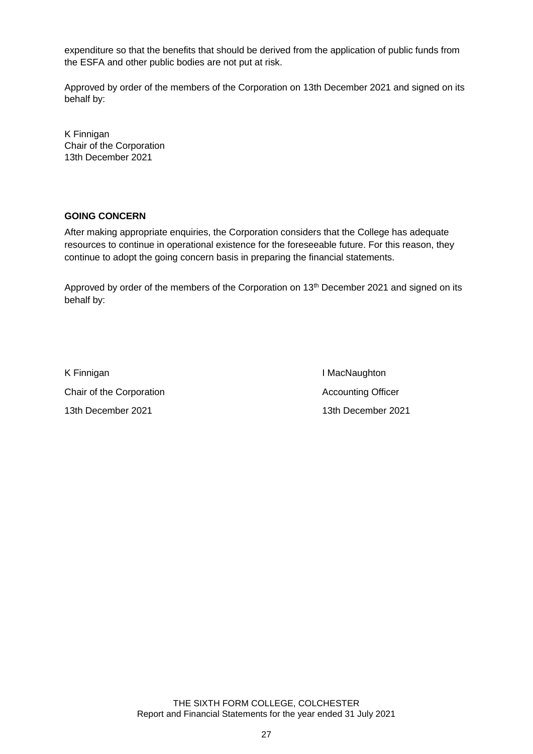expenditure so that the benefits that should be derived from the application of public funds from the ESFA and other public bodies are not put at risk.

Approved by order of the members of the Corporation on 13th December 2021 and signed on its behalf by:

K Finnigan Chair of the Corporation 13th December 2021

### **GOING CONCERN**

After making appropriate enquiries, the Corporation considers that the College has adequate resources to continue in operational existence for the foreseeable future. For this reason, they continue to adopt the going concern basis in preparing the financial statements.

Approved by order of the members of the Corporation on 13<sup>th</sup> December 2021 and signed on its behalf by:

K Finnigan **I MacNaughton** Chair of the Corporation **Accounting Officer** Accounting Officer 13th December 2021 13th December 2021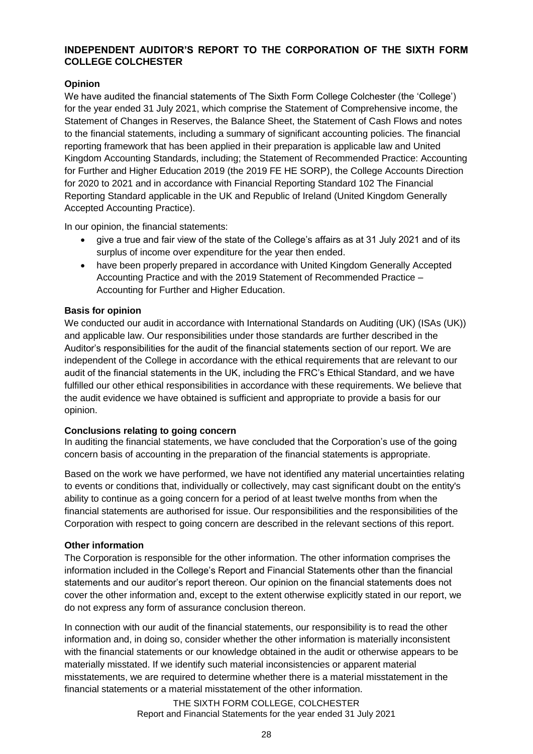# **INDEPENDENT AUDITOR'S REPORT TO THE CORPORATION OF THE SIXTH FORM COLLEGE COLCHESTER**

### **Opinion**

We have audited the financial statements of The Sixth Form College Colchester (the 'College') for the year ended 31 July 2021, which comprise the Statement of Comprehensive income, the Statement of Changes in Reserves, the Balance Sheet, the Statement of Cash Flows and notes to the financial statements, including a summary of significant accounting policies. The financial reporting framework that has been applied in their preparation is applicable law and United Kingdom Accounting Standards, including; the Statement of Recommended Practice: Accounting for Further and Higher Education 2019 (the 2019 FE HE SORP), the College Accounts Direction for 2020 to 2021 and in accordance with Financial Reporting Standard 102 The Financial Reporting Standard applicable in the UK and Republic of Ireland (United Kingdom Generally Accepted Accounting Practice).

In our opinion, the financial statements:

- give a true and fair view of the state of the College's affairs as at 31 July 2021 and of its surplus of income over expenditure for the year then ended.
- have been properly prepared in accordance with United Kingdom Generally Accepted Accounting Practice and with the 2019 Statement of Recommended Practice – Accounting for Further and Higher Education.

### **Basis for opinion**

We conducted our audit in accordance with International Standards on Auditing (UK) (ISAs (UK)) and applicable law. Our responsibilities under those standards are further described in the Auditor's responsibilities for the audit of the financial statements section of our report. We are independent of the College in accordance with the ethical requirements that are relevant to our audit of the financial statements in the UK, including the FRC's Ethical Standard, and we have fulfilled our other ethical responsibilities in accordance with these requirements. We believe that the audit evidence we have obtained is sufficient and appropriate to provide a basis for our opinion.

### **Conclusions relating to going concern**

In auditing the financial statements, we have concluded that the Corporation's use of the going concern basis of accounting in the preparation of the financial statements is appropriate.

Based on the work we have performed, we have not identified any material uncertainties relating to events or conditions that, individually or collectively, may cast significant doubt on the entity's ability to continue as a going concern for a period of at least twelve months from when the financial statements are authorised for issue. Our responsibilities and the responsibilities of the Corporation with respect to going concern are described in the relevant sections of this report.

### **Other information**

The Corporation is responsible for the other information. The other information comprises the information included in the College's Report and Financial Statements other than the financial statements and our auditor's report thereon. Our opinion on the financial statements does not cover the other information and, except to the extent otherwise explicitly stated in our report, we do not express any form of assurance conclusion thereon.

In connection with our audit of the financial statements, our responsibility is to read the other information and, in doing so, consider whether the other information is materially inconsistent with the financial statements or our knowledge obtained in the audit or otherwise appears to be materially misstated. If we identify such material inconsistencies or apparent material misstatements, we are required to determine whether there is a material misstatement in the financial statements or a material misstatement of the other information.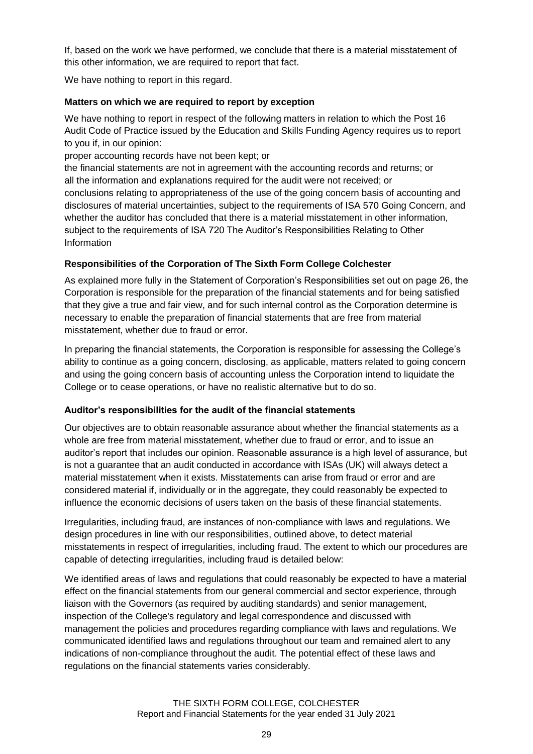If, based on the work we have performed, we conclude that there is a material misstatement of this other information, we are required to report that fact.

We have nothing to report in this regard.

### **Matters on which we are required to report by exception**

We have nothing to report in respect of the following matters in relation to which the Post 16 Audit Code of Practice issued by the Education and Skills Funding Agency requires us to report to you if, in our opinion:

proper accounting records have not been kept; or

the financial statements are not in agreement with the accounting records and returns; or all the information and explanations required for the audit were not received; or conclusions relating to appropriateness of the use of the going concern basis of accounting and disclosures of material uncertainties, subject to the requirements of ISA 570 Going Concern, and whether the auditor has concluded that there is a material misstatement in other information, subject to the requirements of ISA 720 The Auditor's Responsibilities Relating to Other Information

### **Responsibilities of the Corporation of The Sixth Form College Colchester**

As explained more fully in the Statement of Corporation's Responsibilities set out on page 26, the Corporation is responsible for the preparation of the financial statements and for being satisfied that they give a true and fair view, and for such internal control as the Corporation determine is necessary to enable the preparation of financial statements that are free from material misstatement, whether due to fraud or error.

In preparing the financial statements, the Corporation is responsible for assessing the College's ability to continue as a going concern, disclosing, as applicable, matters related to going concern and using the going concern basis of accounting unless the Corporation intend to liquidate the College or to cease operations, or have no realistic alternative but to do so.

### **Auditor's responsibilities for the audit of the financial statements**

Our objectives are to obtain reasonable assurance about whether the financial statements as a whole are free from material misstatement, whether due to fraud or error, and to issue an auditor's report that includes our opinion. Reasonable assurance is a high level of assurance, but is not a guarantee that an audit conducted in accordance with ISAs (UK) will always detect a material misstatement when it exists. Misstatements can arise from fraud or error and are considered material if, individually or in the aggregate, they could reasonably be expected to influence the economic decisions of users taken on the basis of these financial statements.

Irregularities, including fraud, are instances of non-compliance with laws and regulations. We design procedures in line with our responsibilities, outlined above, to detect material misstatements in respect of irregularities, including fraud. The extent to which our procedures are capable of detecting irregularities, including fraud is detailed below:

We identified areas of laws and regulations that could reasonably be expected to have a material effect on the financial statements from our general commercial and sector experience, through liaison with the Governors (as required by auditing standards) and senior management, inspection of the College's regulatory and legal correspondence and discussed with management the policies and procedures regarding compliance with laws and regulations. We communicated identified laws and regulations throughout our team and remained alert to any indications of non-compliance throughout the audit. The potential effect of these laws and regulations on the financial statements varies considerably.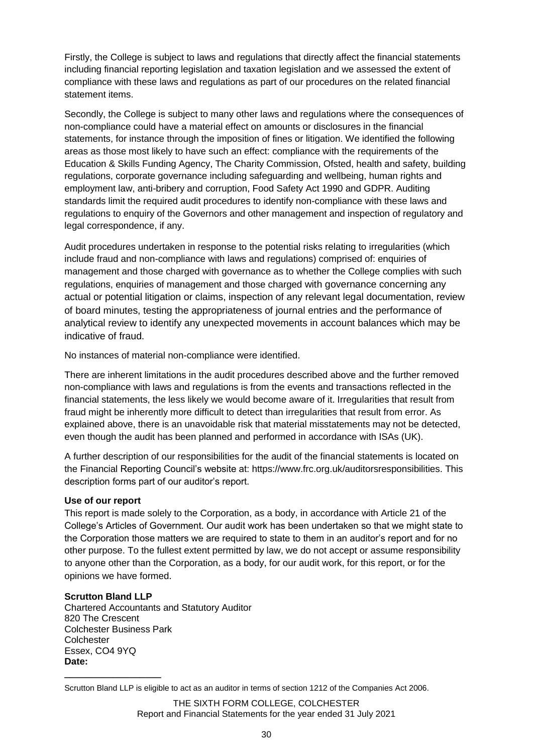Firstly, the College is subject to laws and regulations that directly affect the financial statements including financial reporting legislation and taxation legislation and we assessed the extent of compliance with these laws and regulations as part of our procedures on the related financial statement items.

Secondly, the College is subject to many other laws and regulations where the consequences of non-compliance could have a material effect on amounts or disclosures in the financial statements, for instance through the imposition of fines or litigation. We identified the following areas as those most likely to have such an effect: compliance with the requirements of the Education & Skills Funding Agency, The Charity Commission, Ofsted, health and safety, building regulations, corporate governance including safeguarding and wellbeing, human rights and employment law, anti-bribery and corruption, Food Safety Act 1990 and GDPR. Auditing standards limit the required audit procedures to identify non-compliance with these laws and regulations to enquiry of the Governors and other management and inspection of regulatory and legal correspondence, if any.

Audit procedures undertaken in response to the potential risks relating to irregularities (which include fraud and non-compliance with laws and regulations) comprised of: enquiries of management and those charged with governance as to whether the College complies with such regulations, enquiries of management and those charged with governance concerning any actual or potential litigation or claims, inspection of any relevant legal documentation, review of board minutes, testing the appropriateness of journal entries and the performance of analytical review to identify any unexpected movements in account balances which may be indicative of fraud.

No instances of material non-compliance were identified.

There are inherent limitations in the audit procedures described above and the further removed non-compliance with laws and regulations is from the events and transactions reflected in the financial statements, the less likely we would become aware of it. Irregularities that result from fraud might be inherently more difficult to detect than irregularities that result from error. As explained above, there is an unavoidable risk that material misstatements may not be detected, even though the audit has been planned and performed in accordance with ISAs (UK).

A further description of our responsibilities for the audit of the financial statements is located on the Financial Reporting Council's website at: [https://www.frc.org.uk/auditorsresponsibilities.](https://www.frc.org.uk/auditorsresponsibilities) This description forms part of our auditor's report.

### **Use of our report**

This report is made solely to the Corporation, as a body, in accordance with Article 21 of the College's Articles of Government. Our audit work has been undertaken so that we might state to the Corporation those matters we are required to state to them in an auditor's report and for no other purpose. To the fullest extent permitted by law, we do not accept or assume responsibility to anyone other than the Corporation, as a body, for our audit work, for this report, or for the opinions we have formed.

### **Scrutton Bland LLP**

**\_\_\_\_\_\_\_\_\_\_\_\_\_\_\_\_\_\_**

Chartered Accountants and Statutory Auditor 820 The Crescent Colchester Business Park **Colchester** Essex, CO4 9YQ **Date:** 

Scrutton Bland LLP is eligible to act as an auditor in terms of section 1212 of the Companies Act 2006.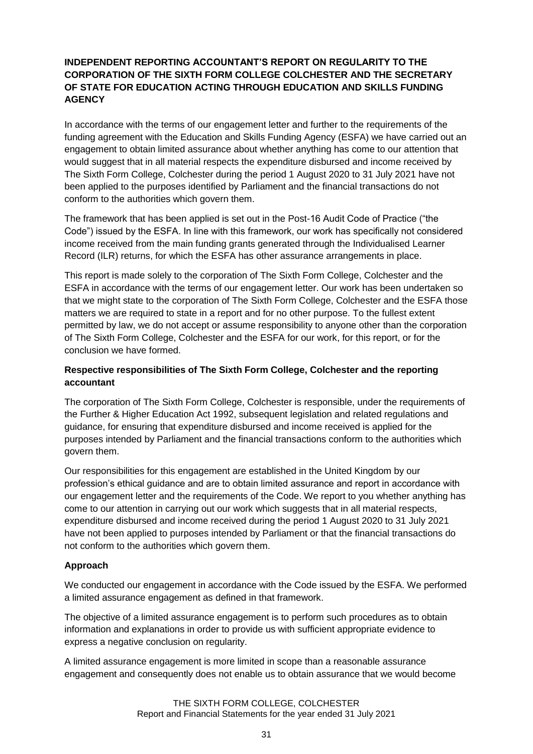# **INDEPENDENT REPORTING ACCOUNTANT'S REPORT ON REGULARITY TO THE CORPORATION OF THE SIXTH FORM COLLEGE COLCHESTER AND THE SECRETARY OF STATE FOR EDUCATION ACTING THROUGH EDUCATION AND SKILLS FUNDING AGENCY**

In accordance with the terms of our engagement letter and further to the requirements of the funding agreement with the Education and Skills Funding Agency (ESFA) we have carried out an engagement to obtain limited assurance about whether anything has come to our attention that would suggest that in all material respects the expenditure disbursed and income received by The Sixth Form College, Colchester during the period 1 August 2020 to 31 July 2021 have not been applied to the purposes identified by Parliament and the financial transactions do not conform to the authorities which govern them.

The framework that has been applied is set out in the Post-16 Audit Code of Practice ("the Code") issued by the ESFA. In line with this framework, our work has specifically not considered income received from the main funding grants generated through the Individualised Learner Record (ILR) returns, for which the ESFA has other assurance arrangements in place.

This report is made solely to the corporation of The Sixth Form College, Colchester and the ESFA in accordance with the terms of our engagement letter. Our work has been undertaken so that we might state to the corporation of The Sixth Form College, Colchester and the ESFA those matters we are required to state in a report and for no other purpose. To the fullest extent permitted by law, we do not accept or assume responsibility to anyone other than the corporation of The Sixth Form College, Colchester and the ESFA for our work, for this report, or for the conclusion we have formed.

### **Respective responsibilities of The Sixth Form College, Colchester and the reporting accountant**

The corporation of The Sixth Form College, Colchester is responsible, under the requirements of the Further & Higher Education Act 1992, subsequent legislation and related regulations and guidance, for ensuring that expenditure disbursed and income received is applied for the purposes intended by Parliament and the financial transactions conform to the authorities which govern them.

Our responsibilities for this engagement are established in the United Kingdom by our profession's ethical guidance and are to obtain limited assurance and report in accordance with our engagement letter and the requirements of the Code. We report to you whether anything has come to our attention in carrying out our work which suggests that in all material respects, expenditure disbursed and income received during the period 1 August 2020 to 31 July 2021 have not been applied to purposes intended by Parliament or that the financial transactions do not conform to the authorities which govern them.

### **Approach**

We conducted our engagement in accordance with the Code issued by the ESFA. We performed a limited assurance engagement as defined in that framework.

The objective of a limited assurance engagement is to perform such procedures as to obtain information and explanations in order to provide us with sufficient appropriate evidence to express a negative conclusion on regularity.

A limited assurance engagement is more limited in scope than a reasonable assurance engagement and consequently does not enable us to obtain assurance that we would become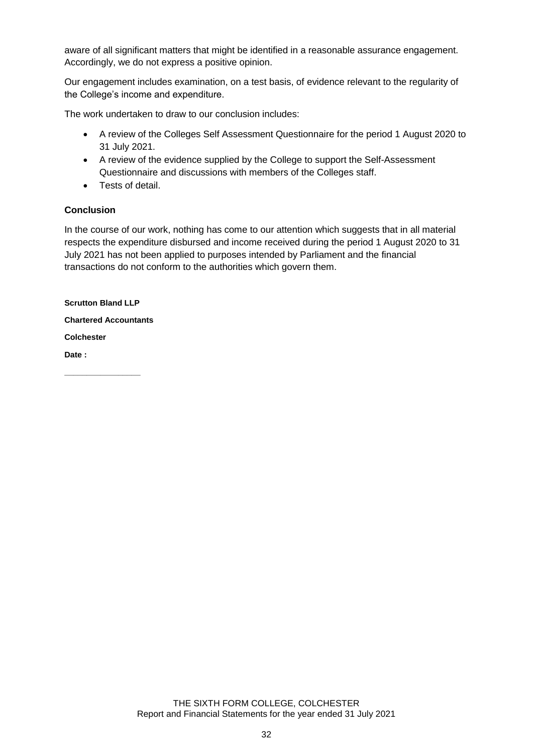aware of all significant matters that might be identified in a reasonable assurance engagement. Accordingly, we do not express a positive opinion.

Our engagement includes examination, on a test basis, of evidence relevant to the regularity of the College's income and expenditure.

The work undertaken to draw to our conclusion includes:

- A review of the Colleges Self Assessment Questionnaire for the period 1 August 2020 to 31 July 2021.
- A review of the evidence supplied by the College to support the Self-Assessment Questionnaire and discussions with members of the Colleges staff.
- Tests of detail.

### **Conclusion**

In the course of our work, nothing has come to our attention which suggests that in all material respects the expenditure disbursed and income received during the period 1 August 2020 to 31 July 2021 has not been applied to purposes intended by Parliament and the financial transactions do not conform to the authorities which govern them.

**Scrutton Bland LLP Chartered Accountants Colchester Date :**

**\_\_\_\_\_\_\_\_\_\_\_\_\_\_\_\_\_**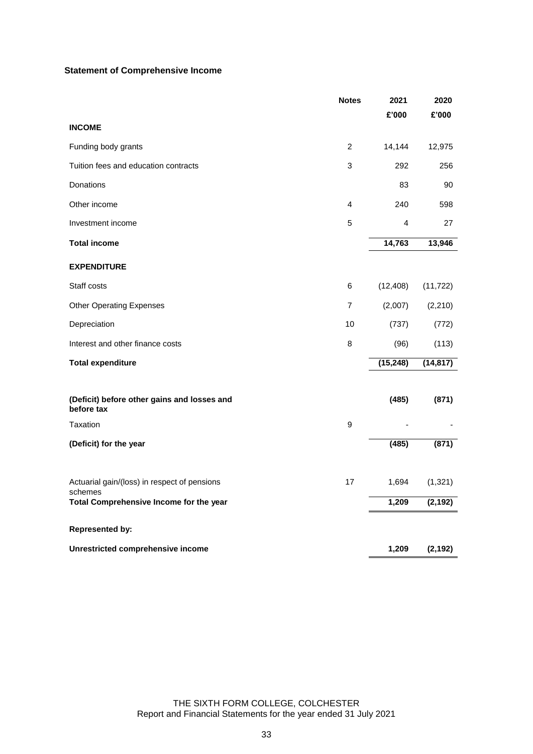# **Statement of Comprehensive Income**

|                                                           | <b>Notes</b>   | 2021      | 2020      |
|-----------------------------------------------------------|----------------|-----------|-----------|
|                                                           |                | £'000     | £'000     |
| <b>INCOME</b>                                             |                |           |           |
| Funding body grants                                       | $\overline{c}$ | 14,144    | 12,975    |
| Tuition fees and education contracts                      | 3              | 292       | 256       |
| Donations                                                 |                | 83        | 90        |
| Other income                                              | 4              | 240       | 598       |
| Investment income                                         | 5              | 4         | 27        |
| <b>Total income</b>                                       |                | 14,763    | 13,946    |
| <b>EXPENDITURE</b>                                        |                |           |           |
| Staff costs                                               | 6              | (12, 408) | (11, 722) |
| <b>Other Operating Expenses</b>                           | $\overline{7}$ | (2,007)   | (2, 210)  |
| Depreciation                                              | 10             | (737)     | (772)     |
| Interest and other finance costs                          | 8              | (96)      | (113)     |
| <b>Total expenditure</b>                                  |                | (15, 248) | (14, 817) |
|                                                           |                |           |           |
| (Deficit) before other gains and losses and<br>before tax |                | (485)     | (871)     |
| Taxation                                                  | 9              |           |           |
| (Deficit) for the year                                    |                | (485)     | (871)     |
|                                                           |                |           |           |
| Actuarial gain/(loss) in respect of pensions<br>schemes   | 17             | 1,694     | (1, 321)  |
| Total Comprehensive Income for the year                   |                | 1,209     | (2, 192)  |
| <b>Represented by:</b>                                    |                |           |           |
| Unrestricted comprehensive income                         |                | 1,209     | (2, 192)  |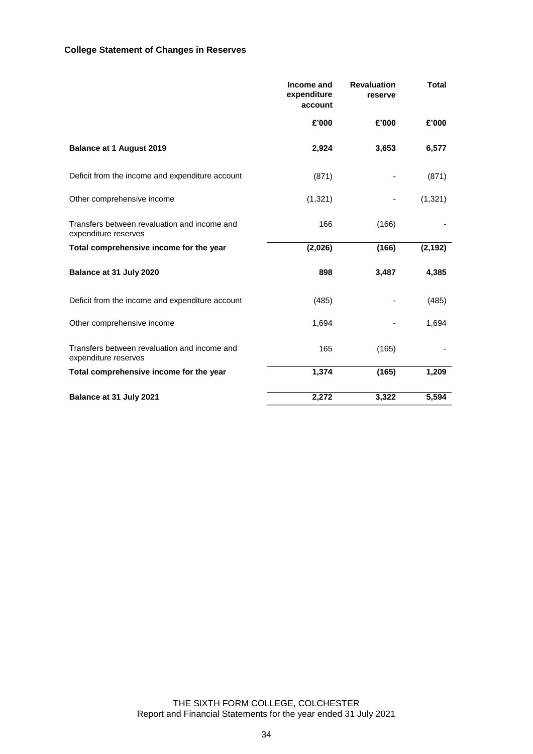# **College Statement of Changes in Reserves**

|                                                                      | Income and<br>expenditure<br>account | <b>Revaluation</b><br>reserve | <b>Total</b> |
|----------------------------------------------------------------------|--------------------------------------|-------------------------------|--------------|
|                                                                      | £'000                                | £'000                         | £'000        |
| <b>Balance at 1 August 2019</b>                                      | 2,924                                | 3,653                         | 6,577        |
| Deficit from the income and expenditure account                      | (871)                                |                               | (871)        |
| Other comprehensive income                                           | (1,321)                              |                               | (1, 321)     |
| Transfers between revaluation and income and<br>expenditure reserves | 166                                  | (166)                         |              |
| Total comprehensive income for the year                              | (2,026)                              | (166)                         | (2, 192)     |
| Balance at 31 July 2020                                              | 898                                  | 3,487                         | 4,385        |
| Deficit from the income and expenditure account                      | (485)                                |                               | (485)        |
| Other comprehensive income                                           | 1,694                                |                               | 1,694        |
| Transfers between revaluation and income and<br>expenditure reserves | 165                                  | (165)                         |              |
| Total comprehensive income for the year                              | 1,374                                | (165)                         | 1,209        |
| Balance at 31 July 2021                                              | 2,272                                | 3,322                         | 5,594        |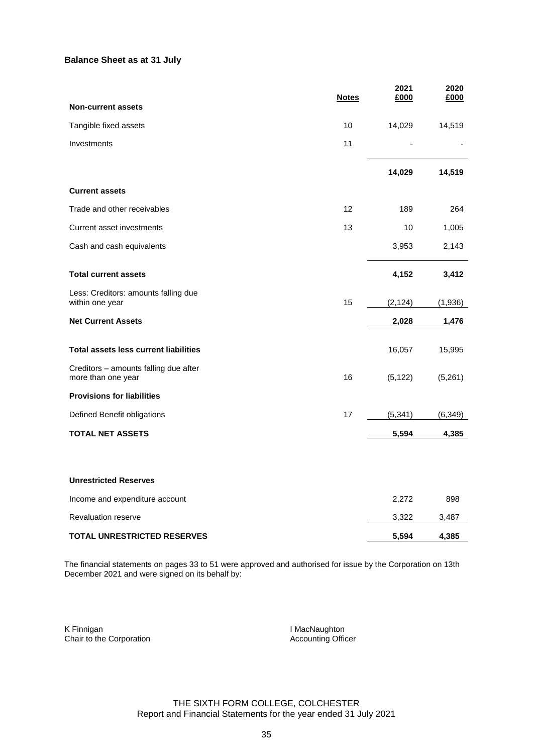### **Balance Sheet as at 31 July**

|                                                             | <b>Notes</b> | 2021<br>£000 | 2020<br>£000 |
|-------------------------------------------------------------|--------------|--------------|--------------|
| <b>Non-current assets</b>                                   |              |              |              |
| Tangible fixed assets                                       | 10           | 14,029       | 14,519       |
| Investments                                                 | 11           |              |              |
|                                                             |              | 14,029       | 14,519       |
| <b>Current assets</b>                                       |              |              |              |
| Trade and other receivables                                 | 12           | 189          | 264          |
| Current asset investments                                   | 13           | 10           | 1,005        |
| Cash and cash equivalents                                   |              | 3,953        | 2,143        |
| <b>Total current assets</b>                                 |              | 4,152        | 3,412        |
| Less: Creditors: amounts falling due<br>within one year     | 15           | (2, 124)     | (1,936)      |
| <b>Net Current Assets</b>                                   |              | 2,028        | 1,476        |
| <b>Total assets less current liabilities</b>                |              | 16,057       | 15,995       |
| Creditors - amounts falling due after<br>more than one year | 16           | (5, 122)     | (5,261)      |
| <b>Provisions for liabilities</b>                           |              |              |              |
| Defined Benefit obligations                                 | 17           | (5, 341)     | (6, 349)     |
| <b>TOTAL NET ASSETS</b>                                     |              | 5,594        | 4,385        |
|                                                             |              |              |              |
| <b>Unrestricted Reserves</b>                                |              |              |              |
| Income and expenditure account                              |              | 2,272        | 898          |
| <b>Revaluation reserve</b>                                  |              | 3,322        | 3,487        |

**TOTAL UNRESTRICTED RESERVES 5,594 4,385**

The financial statements on pages 33 to 51 were approved and authorised for issue by the Corporation on 13th December 2021 and were signed on its behalf by:

K Finnigan<br>
Chair to the Corporation<br>
Chair to the Corporation<br>
Chair to the Corporation<br>
Chair to the Corporation<br>
Chair to the Corporation<br>
Chair to the Corporation<br>
Chair to the Corporation<br>
Chair to the Corporation Chair to the Corporation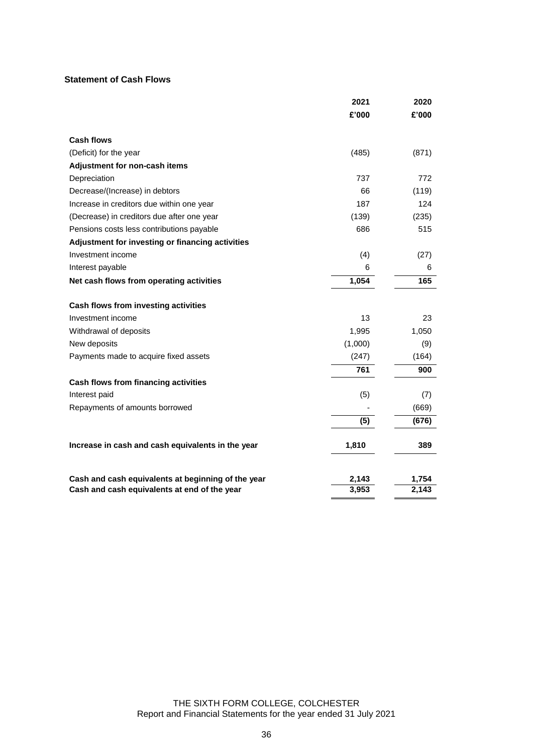### **Statement of Cash Flows**

|                                                    | 2021    | 2020  |
|----------------------------------------------------|---------|-------|
|                                                    | £'000   | £'000 |
| <b>Cash flows</b>                                  |         |       |
| (Deficit) for the year                             | (485)   | (871) |
| Adjustment for non-cash items                      |         |       |
| Depreciation                                       | 737     | 772   |
| Decrease/(Increase) in debtors                     | 66      | (119) |
| Increase in creditors due within one year          | 187     | 124   |
| (Decrease) in creditors due after one year         | (139)   | (235) |
| Pensions costs less contributions payable          | 686     | 515   |
| Adjustment for investing or financing activities   |         |       |
| Investment income                                  | (4)     | (27)  |
| Interest payable                                   | 6       | 6     |
| Net cash flows from operating activities           | 1,054   | 165   |
| Cash flows from investing activities               |         |       |
| Investment income                                  | 13      | 23    |
| Withdrawal of deposits                             | 1,995   | 1,050 |
| New deposits                                       | (1,000) | (9)   |
| Payments made to acquire fixed assets              | (247)   | (164) |
|                                                    | 761     | 900   |
| Cash flows from financing activities               |         |       |
| Interest paid                                      | (5)     | (7)   |
| Repayments of amounts borrowed                     |         | (669) |
|                                                    | (5)     | (676) |
| Increase in cash and cash equivalents in the year  | 1,810   | 389   |
| Cash and cash equivalents at beginning of the year | 2,143   | 1.754 |
| Cash and cash equivalents at end of the year       | 3,953   | 2,143 |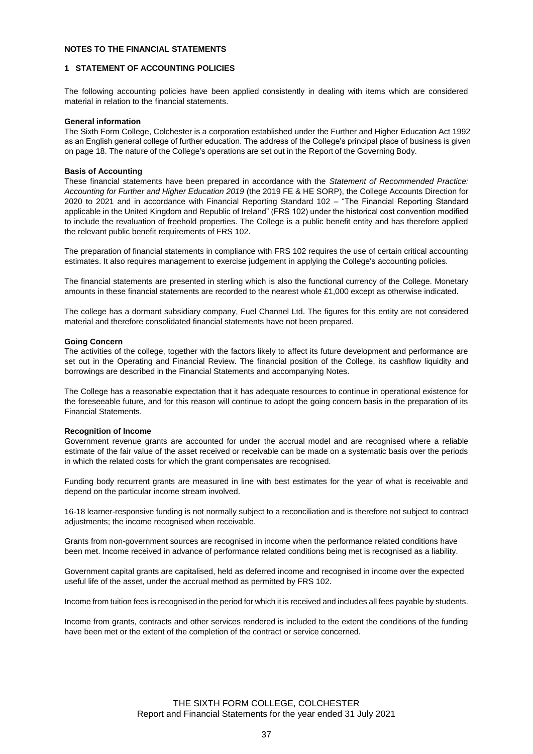#### **NOTES TO THE FINANCIAL STATEMENTS**

#### **1 STATEMENT OF ACCOUNTING POLICIES**

The following accounting policies have been applied consistently in dealing with items which are considered material in relation to the financial statements.

#### **General information**

The Sixth Form College, Colchester is a corporation established under the Further and Higher Education Act 1992 as an English general college of further education. The address of the College's principal place of business is given on page 18. The nature of the College's operations are set out in the Report of the Governing Body.

#### **Basis of Accounting**

These financial statements have been prepared in accordance with the *Statement of Recommended Practice: Accounting for Further and Higher Education 2019* (the 2019 FE & HE SORP), the College Accounts Direction for 2020 to 2021 and in accordance with Financial Reporting Standard 102 – "The Financial Reporting Standard applicable in the United Kingdom and Republic of Ireland" (FRS 102) under the historical cost convention modified to include the revaluation of freehold properties. The College is a public benefit entity and has therefore applied the relevant public benefit requirements of FRS 102.

The preparation of financial statements in compliance with FRS 102 requires the use of certain critical accounting estimates. It also requires management to exercise judgement in applying the College's accounting policies.

The financial statements are presented in sterling which is also the functional currency of the College. Monetary amounts in these financial statements are recorded to the nearest whole £1,000 except as otherwise indicated.

The college has a dormant subsidiary company, Fuel Channel Ltd. The figures for this entity are not considered material and therefore consolidated financial statements have not been prepared.

#### **Going Concern**

The activities of the college, together with the factors likely to affect its future development and performance are set out in the Operating and Financial Review. The financial position of the College, its cashflow liquidity and borrowings are described in the Financial Statements and accompanying Notes.

The College has a reasonable expectation that it has adequate resources to continue in operational existence for the foreseeable future, and for this reason will continue to adopt the going concern basis in the preparation of its Financial Statements.

#### **Recognition of Income**

Government revenue grants are accounted for under the accrual model and are recognised where a reliable estimate of the fair value of the asset received or receivable can be made on a systematic basis over the periods in which the related costs for which the grant compensates are recognised.

Funding body recurrent grants are measured in line with best estimates for the year of what is receivable and depend on the particular income stream involved.

16-18 learner-responsive funding is not normally subject to a reconciliation and is therefore not subject to contract adjustments; the income recognised when receivable.

Grants from non-government sources are recognised in income when the performance related conditions have been met. Income received in advance of performance related conditions being met is recognised as a liability.

Government capital grants are capitalised, held as deferred income and recognised in income over the expected useful life of the asset, under the accrual method as permitted by FRS 102.

Income from tuition fees is recognised in the period for which it is received and includes all fees payable by students.

Income from grants, contracts and other services rendered is included to the extent the conditions of the funding have been met or the extent of the completion of the contract or service concerned.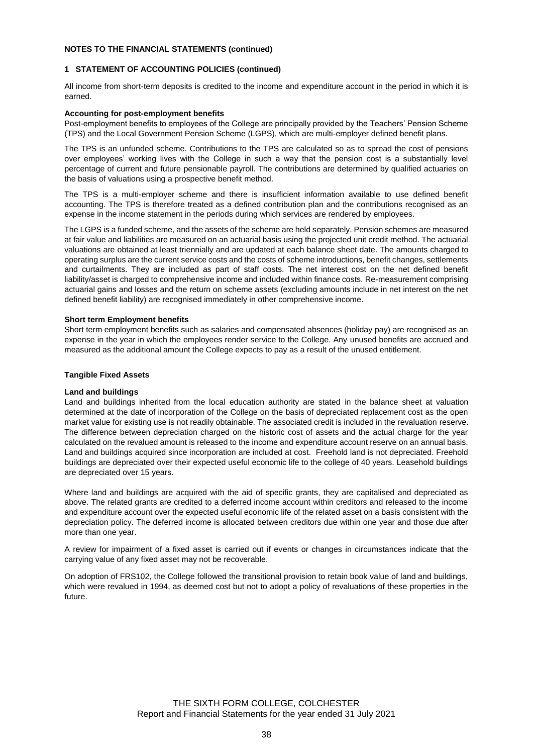#### **1 STATEMENT OF ACCOUNTING POLICIES (continued)**

All income from short-term deposits is credited to the income and expenditure account in the period in which it is earned.

#### **Accounting for post-employment benefits**

Post-employment benefits to employees of the College are principally provided by the Teachers' Pension Scheme (TPS) and the Local Government Pension Scheme (LGPS), which are multi-employer defined benefit plans.

The TPS is an unfunded scheme. Contributions to the TPS are calculated so as to spread the cost of pensions over employees' working lives with the College in such a way that the pension cost is a substantially level percentage of current and future pensionable payroll. The contributions are determined by qualified actuaries on the basis of valuations using a prospective benefit method.

The TPS is a multi-employer scheme and there is insufficient information available to use defined benefit accounting. The TPS is therefore treated as a defined contribution plan and the contributions recognised as an expense in the income statement in the periods during which services are rendered by employees.

The LGPS is a funded scheme, and the assets of the scheme are held separately. Pension schemes are measured at fair value and liabilities are measured on an actuarial basis using the projected unit credit method. The actuarial valuations are obtained at least triennially and are updated at each balance sheet date. The amounts charged to operating surplus are the current service costs and the costs of scheme introductions, benefit changes, settlements and curtailments. They are included as part of staff costs. The net interest cost on the net defined benefit liability/asset is charged to comprehensive income and included within finance costs. Re-measurement comprising actuarial gains and losses and the return on scheme assets (excluding amounts include in net interest on the net defined benefit liability) are recognised immediately in other comprehensive income.

#### **Short term Employment benefits**

Short term employment benefits such as salaries and compensated absences (holiday pay) are recognised as an expense in the year in which the employees render service to the College. Any unused benefits are accrued and measured as the additional amount the College expects to pay as a result of the unused entitlement.

#### **Tangible Fixed Assets**

#### **Land and buildings**

Land and buildings inherited from the local education authority are stated in the balance sheet at valuation determined at the date of incorporation of the College on the basis of depreciated replacement cost as the open market value for existing use is not readily obtainable. The associated credit is included in the revaluation reserve. The difference between depreciation charged on the historic cost of assets and the actual charge for the year calculated on the revalued amount is released to the income and expenditure account reserve on an annual basis. Land and buildings acquired since incorporation are included at cost. Freehold land is not depreciated. Freehold buildings are depreciated over their expected useful economic life to the college of 40 years. Leasehold buildings are depreciated over 15 years.

Where land and buildings are acquired with the aid of specific grants, they are capitalised and depreciated as above. The related grants are credited to a deferred income account within creditors and released to the income and expenditure account over the expected useful economic life of the related asset on a basis consistent with the depreciation policy. The deferred income is allocated between creditors due within one year and those due after more than one year.

A review for impairment of a fixed asset is carried out if events or changes in circumstances indicate that the carrying value of any fixed asset may not be recoverable.

On adoption of FRS102, the College followed the transitional provision to retain book value of land and buildings, which were revalued in 1994, as deemed cost but not to adopt a policy of revaluations of these properties in the future.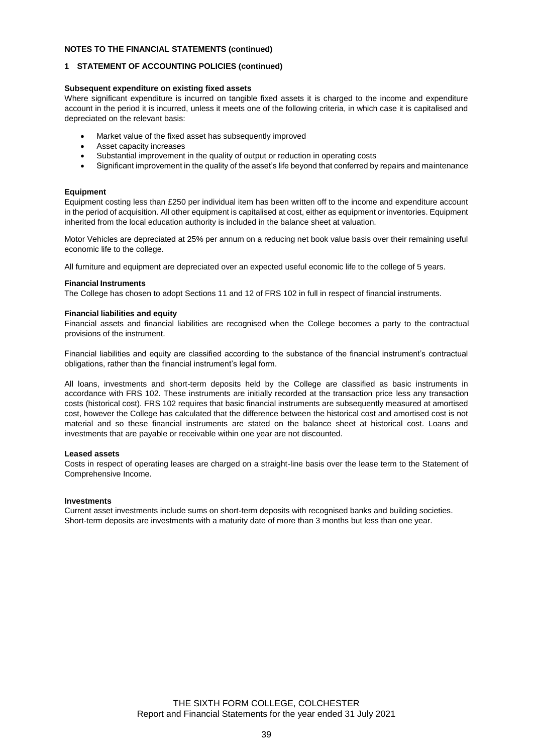#### **1 STATEMENT OF ACCOUNTING POLICIES (continued)**

#### **Subsequent expenditure on existing fixed assets**

Where significant expenditure is incurred on tangible fixed assets it is charged to the income and expenditure account in the period it is incurred, unless it meets one of the following criteria, in which case it is capitalised and depreciated on the relevant basis:

- Market value of the fixed asset has subsequently improved
- Asset capacity increases
- Substantial improvement in the quality of output or reduction in operating costs
- Significant improvement in the quality of the asset's life beyond that conferred by repairs and maintenance

#### **Equipment**

Equipment costing less than £250 per individual item has been written off to the income and expenditure account in the period of acquisition. All other equipment is capitalised at cost, either as equipment or inventories. Equipment inherited from the local education authority is included in the balance sheet at valuation.

Motor Vehicles are depreciated at 25% per annum on a reducing net book value basis over their remaining useful economic life to the college.

All furniture and equipment are depreciated over an expected useful economic life to the college of 5 years.

#### **Financial Instruments**

The College has chosen to adopt Sections 11 and 12 of FRS 102 in full in respect of financial instruments.

#### **Financial liabilities and equity**

Financial assets and financial liabilities are recognised when the College becomes a party to the contractual provisions of the instrument.

Financial liabilities and equity are classified according to the substance of the financial instrument's contractual obligations, rather than the financial instrument's legal form.

All loans, investments and short-term deposits held by the College are classified as basic instruments in accordance with FRS 102. These instruments are initially recorded at the transaction price less any transaction costs (historical cost). FRS 102 requires that basic financial instruments are subsequently measured at amortised cost, however the College has calculated that the difference between the historical cost and amortised cost is not material and so these financial instruments are stated on the balance sheet at historical cost. Loans and investments that are payable or receivable within one year are not discounted.

#### **Leased assets**

Costs in respect of operating leases are charged on a straight-line basis over the lease term to the Statement of Comprehensive Income.

#### **Investments**

Current asset investments include sums on short-term deposits with recognised banks and building societies. Short-term deposits are investments with a maturity date of more than 3 months but less than one year.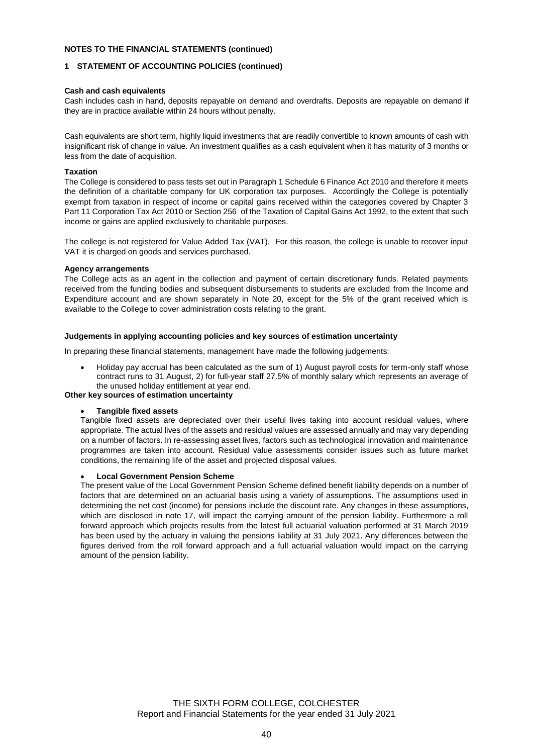#### **1 STATEMENT OF ACCOUNTING POLICIES (continued)**

#### **Cash and cash equivalents**

Cash includes cash in hand, deposits repayable on demand and overdrafts. Deposits are repayable on demand if they are in practice available within 24 hours without penalty.

Cash equivalents are short term, highly liquid investments that are readily convertible to known amounts of cash with insignificant risk of change in value. An investment qualifies as a cash equivalent when it has maturity of 3 months or less from the date of acquisition.

#### **Taxation**

The College is considered to pass tests set out in Paragraph 1 Schedule 6 Finance Act 2010 and therefore it meets the definition of a charitable company for UK corporation tax purposes. Accordingly the College is potentially exempt from taxation in respect of income or capital gains received within the categories covered by Chapter 3 Part 11 Corporation Tax Act 2010 or Section 256 of the Taxation of Capital Gains Act 1992, to the extent that such income or gains are applied exclusively to charitable purposes.

The college is not registered for Value Added Tax (VAT). For this reason, the college is unable to recover input VAT it is charged on goods and services purchased.

#### **Agency arrangements**

The College acts as an agent in the collection and payment of certain discretionary funds. Related payments received from the funding bodies and subsequent disbursements to students are excluded from the Income and Expenditure account and are shown separately in Note 20, except for the 5% of the grant received which is available to the College to cover administration costs relating to the grant.

#### **Judgements in applying accounting policies and key sources of estimation uncertainty**

In preparing these financial statements, management have made the following judgements:

• Holiday pay accrual has been calculated as the sum of 1) August payroll costs for term-only staff whose contract runs to 31 August, 2) for full-year staff 27.5% of monthly salary which represents an average of the unused holiday entitlement at year end.

#### **Other key sources of estimation uncertainty**

#### • **Tangible fixed assets**

Tangible fixed assets are depreciated over their useful lives taking into account residual values, where appropriate. The actual lives of the assets and residual values are assessed annually and may vary depending on a number of factors. In re-assessing asset lives, factors such as technological innovation and maintenance programmes are taken into account. Residual value assessments consider issues such as future market conditions, the remaining life of the asset and projected disposal values.

#### • **Local Government Pension Scheme**

The present value of the Local Government Pension Scheme defined benefit liability depends on a number of factors that are determined on an actuarial basis using a variety of assumptions. The assumptions used in determining the net cost (income) for pensions include the discount rate. Any changes in these assumptions, which are disclosed in note 17, will impact the carrying amount of the pension liability. Furthermore a roll forward approach which projects results from the latest full actuarial valuation performed at 31 March 2019 has been used by the actuary in valuing the pensions liability at 31 July 2021. Any differences between the figures derived from the roll forward approach and a full actuarial valuation would impact on the carrying amount of the pension liability.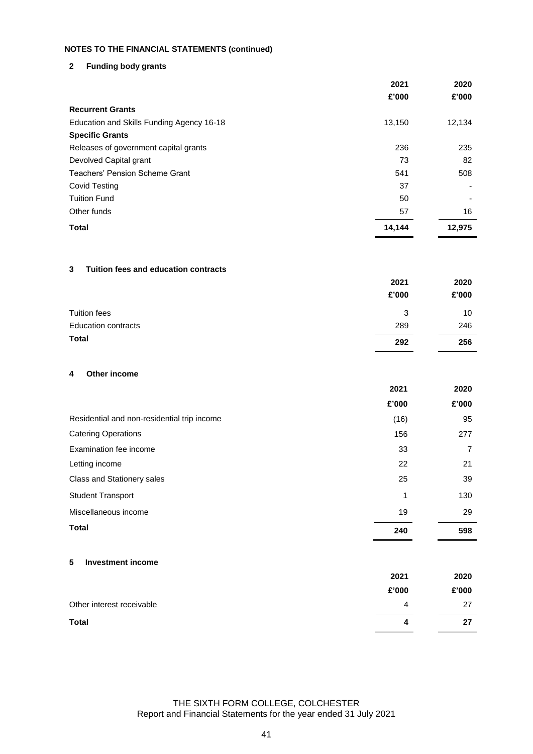**2 Funding body grants**

|                                           | 2021   | 2020   |
|-------------------------------------------|--------|--------|
|                                           | £'000  | £'000  |
| <b>Recurrent Grants</b>                   |        |        |
| Education and Skills Funding Agency 16-18 | 13,150 | 12,134 |
| <b>Specific Grants</b>                    |        |        |
| Releases of government capital grants     | 236    | 235    |
| Devolved Capital grant                    | 73     | 82     |
| Teachers' Pension Scheme Grant            | 541    | 508    |
| <b>Covid Testing</b>                      | 37     |        |
| <b>Tuition Fund</b>                       | 50     |        |
| Other funds                               | 57     | 16     |
| <b>Total</b>                              | 14,144 | 12,975 |

### **3 Tuition fees and education contracts**

|                            | 2021  | 2020  |
|----------------------------|-------|-------|
|                            | £'000 | £'000 |
| Tuition fees               | 3     | 10    |
| <b>Education contracts</b> | 289   | 246   |
| <b>Total</b>               | 292   | 256   |

### **4 Other income**

|                                             | 2021  | 2020  |
|---------------------------------------------|-------|-------|
|                                             | £'000 | £'000 |
| Residential and non-residential trip income | (16)  | 95    |
| <b>Catering Operations</b>                  | 156   | 277   |
| Examination fee income                      | 33    | 7     |
| Letting income                              | 22    | 21    |
| Class and Stationery sales                  | 25    | 39    |
| <b>Student Transport</b>                    | 1     | 130   |
| Miscellaneous income                        | 19    | 29    |
| <b>Total</b>                                | 240   | 598   |
|                                             |       |       |

| Investment income<br>5.   |       |       |
|---------------------------|-------|-------|
|                           | 2021  | 2020  |
|                           | £'000 | £'000 |
| Other interest receivable | 4     | 27    |
| <b>Total</b>              | 4     | 27    |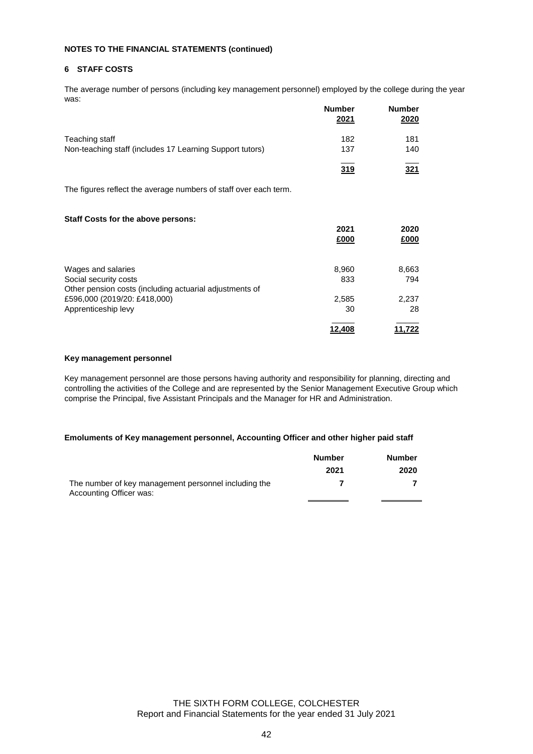#### **6 STAFF COSTS**

The average number of persons (including key management personnel) employed by the college during the year was: **Number Number**

|                                                                                  | number<br><u>2021</u> | numper<br>2020 |
|----------------------------------------------------------------------------------|-----------------------|----------------|
| Teaching staff<br>Non-teaching staff (includes 17 Learning Support tutors)       | 182<br>137            | 181<br>140     |
|                                                                                  | <u>319</u>            | 321            |
| The figures reflect the average numbers of staff over each term.                 |                       |                |
| Staff Costs for the above persons:                                               |                       |                |
|                                                                                  | 2021<br>£000          | 2020<br>£000   |
| Wages and salaries                                                               | 8,960                 | 8,663          |
| Social security costs<br>Other pension costs (including actuarial adjustments of | 833                   | 794            |
| £596,000 (2019/20: £418,000)                                                     | 2,585                 | 2,237          |
| Apprenticeship levy                                                              | 30                    | 28             |
|                                                                                  | 12,408                | 11,722         |

### **Key management personnel**

Key management personnel are those persons having authority and responsibility for planning, directing and controlling the activities of the College and are represented by the Senior Management Executive Group which comprise the Principal, five Assistant Principals and the Manager for HR and Administration.

#### **Emoluments of Key management personnel, Accounting Officer and other higher paid staff**

|                                                      | <b>Number</b> | <b>Number</b> |
|------------------------------------------------------|---------------|---------------|
|                                                      | 2021          | 2020          |
| The number of key management personnel including the |               |               |
| Accounting Officer was:                              |               |               |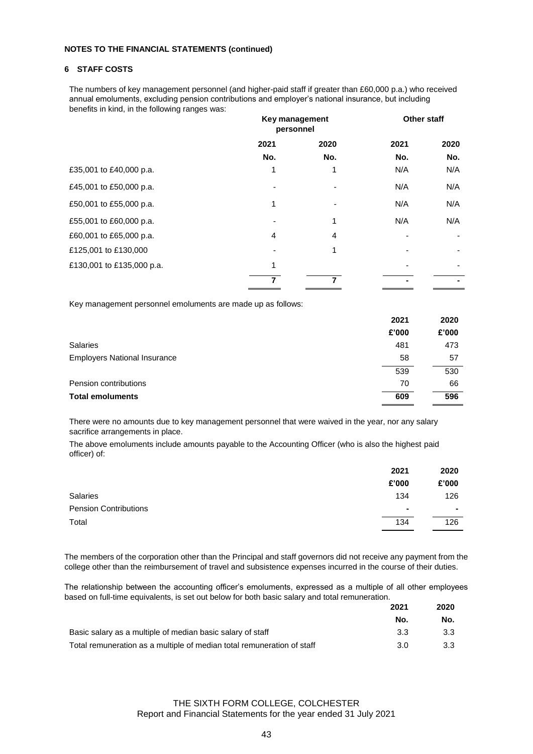#### **6 STAFF COSTS**

The numbers of key management personnel (and higher-paid staff if greater than £60,000 p.a.) who received annual emoluments, excluding pension contributions and employer's national insurance, but including benefits in kind, in the following ranges was:

|                           | Key management<br>personnel |      |      | Other staff |  |
|---------------------------|-----------------------------|------|------|-------------|--|
|                           | 2021                        | 2020 | 2021 | 2020        |  |
|                           | No.                         | No.  | No.  | No.         |  |
| £35,001 to £40,000 p.a.   | 1                           |      | N/A  | N/A         |  |
| £45,001 to £50,000 p.a.   |                             |      | N/A  | N/A         |  |
| £50,001 to £55,000 p.a.   | 1                           |      | N/A  | N/A         |  |
| £55,001 to £60,000 p.a.   |                             | 1    | N/A  | N/A         |  |
| £60,001 to £65,000 p.a.   | 4                           | 4    |      |             |  |
| £125,001 to £130,000      |                             | 1    |      |             |  |
| £130,001 to £135,000 p.a. | 1                           |      |      |             |  |
|                           | $\overline{7}$              | 7    |      |             |  |

Key management personnel emoluments are made up as follows:

|                                     | 2021  | 2020  |
|-------------------------------------|-------|-------|
|                                     | £'000 | £'000 |
| <b>Salaries</b>                     | 481   | 473   |
| <b>Employers National Insurance</b> | 58    | 57    |
|                                     | 539   | 530   |
| Pension contributions               | 70    | 66    |
| <b>Total emoluments</b>             | 609   | 596   |

There were no amounts due to key management personnel that were waived in the year, nor any salary sacrifice arrangements in place.

The above emoluments include amounts payable to the Accounting Officer (who is also the highest paid officer) of:

|                              | 2021           | 2020           |
|------------------------------|----------------|----------------|
|                              | £'000          | £'000          |
| <b>Salaries</b>              | 134            | 126            |
| <b>Pension Contributions</b> | $\blacksquare$ | $\blacksquare$ |
| Total                        | 134            | 126            |

The members of the corporation other than the Principal and staff governors did not receive any payment from the college other than the reimbursement of travel and subsistence expenses incurred in the course of their duties.

The relationship between the accounting officer's emoluments, expressed as a multiple of all other employees based on full-time equivalents, is set out below for both basic salary and total remuneration.

|                                                                        | 2021 | 2020 |  |
|------------------------------------------------------------------------|------|------|--|
|                                                                        | No.  | No.  |  |
| Basic salary as a multiple of median basic salary of staff             | 3.3  | 3.3  |  |
| Total remuneration as a multiple of median total remuneration of staff | 3.0  | 3.3  |  |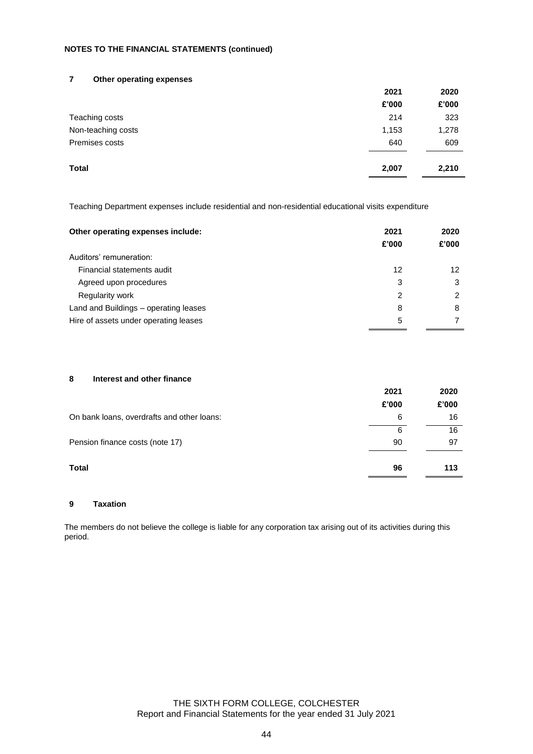#### **7 Other operating expenses**

|                    | 2021  | 2020  |
|--------------------|-------|-------|
|                    | £'000 | £'000 |
| Teaching costs     | 214   | 323   |
| Non-teaching costs | 1,153 | 1,278 |
| Premises costs     | 640   | 609   |
| <b>Total</b>       | 2,007 | 2,210 |

Teaching Department expenses include residential and non-residential educational visits expenditure

| Other operating expenses include:     | 2021<br>£'000 | 2020<br>£'000 |
|---------------------------------------|---------------|---------------|
| Auditors' remuneration:               |               |               |
| Financial statements audit            | 12            | 12            |
| Agreed upon procedures                | 3             | 3             |
| Regularity work                       | 2             | 2             |
| Land and Buildings – operating leases | 8             | 8             |
| Hire of assets under operating leases | 5             |               |

#### **8 Interest and other finance**

|                                            | 2021<br>£'000 | 2020<br>£'000 |
|--------------------------------------------|---------------|---------------|
| On bank loans, overdrafts and other loans: | 6             | 16            |
|                                            | 6             | 16            |
| Pension finance costs (note 17)            | 90            | 97            |
| <b>Total</b>                               | 96            | 113           |

#### **9 Taxation**

The members do not believe the college is liable for any corporation tax arising out of its activities during this period.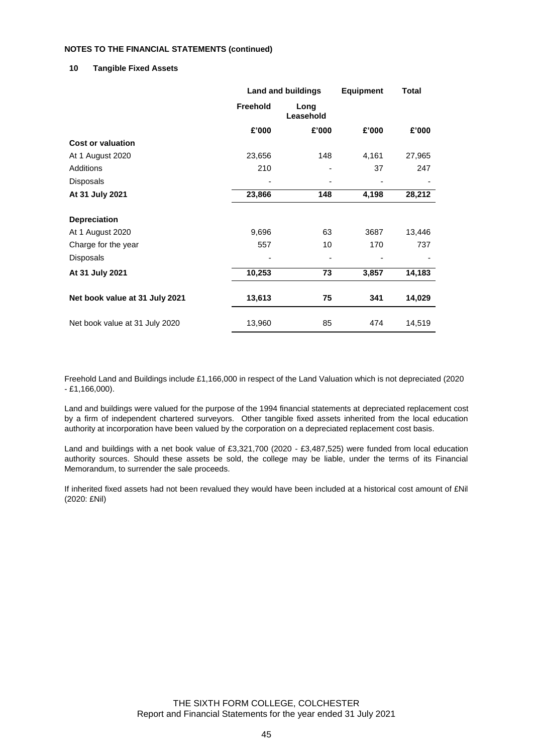#### **10 Tangible Fixed Assets**

|                                | <b>Land and buildings</b> |                   | <b>Equipment</b> | Total  |  |
|--------------------------------|---------------------------|-------------------|------------------|--------|--|
|                                | <b>Freehold</b>           | Long<br>Leasehold |                  |        |  |
|                                | £'000                     | £'000             | £'000            | £'000  |  |
| <b>Cost or valuation</b>       |                           |                   |                  |        |  |
| At 1 August 2020               | 23,656                    | 148               | 4,161            | 27,965 |  |
| <b>Additions</b>               | 210                       |                   | 37               | 247    |  |
| Disposals                      |                           |                   |                  |        |  |
| At 31 July 2021                | 23,866                    | 148               | 4,198            | 28,212 |  |
| <b>Depreciation</b>            |                           |                   |                  |        |  |
| At 1 August 2020               | 9,696                     | 63                | 3687             | 13,446 |  |
| Charge for the year            | 557                       | 10                | 170              | 737    |  |
| Disposals                      |                           |                   |                  |        |  |
| At 31 July 2021                | 10,253                    | 73                | 3,857            | 14,183 |  |
| Net book value at 31 July 2021 | 13,613                    | 75                | 341              | 14,029 |  |
| Net book value at 31 July 2020 | 13,960                    | 85                | 474              | 14,519 |  |

Freehold Land and Buildings include £1,166,000 in respect of the Land Valuation which is not depreciated (2020 - £1,166,000).

Land and buildings were valued for the purpose of the 1994 financial statements at depreciated replacement cost by a firm of independent chartered surveyors. Other tangible fixed assets inherited from the local education authority at incorporation have been valued by the corporation on a depreciated replacement cost basis.

Land and buildings with a net book value of £3,321,700 (2020 - £3,487,525) were funded from local education authority sources. Should these assets be sold, the college may be liable, under the terms of its Financial Memorandum, to surrender the sale proceeds.

If inherited fixed assets had not been revalued they would have been included at a historical cost amount of £Nil (2020: £Nil)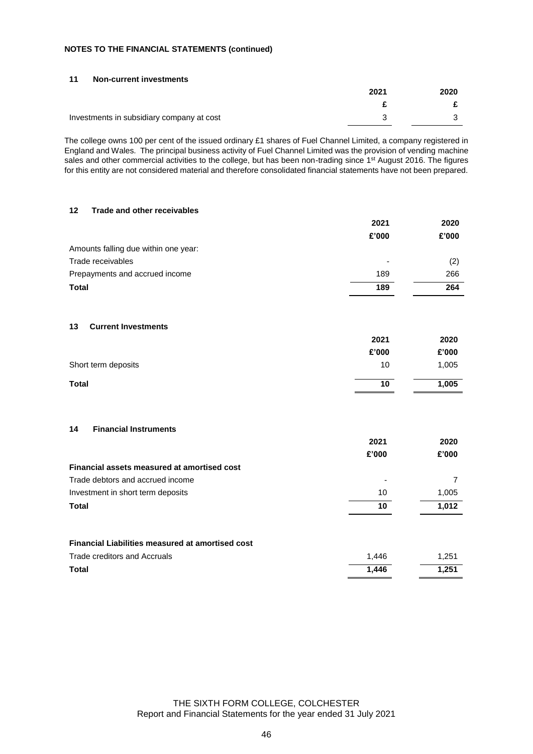| 11<br>Non-current investments             |      |      |
|-------------------------------------------|------|------|
|                                           | 2021 | 2020 |
|                                           |      |      |
| Investments in subsidiary company at cost |      | ີ    |

The college owns 100 per cent of the issued ordinary £1 shares of Fuel Channel Limited, a company registered in England and Wales. The principal business activity of Fuel Channel Limited was the provision of vending machine sales and other commercial activities to the college, but has been non-trading since 1<sup>st</sup> August 2016. The figures for this entity are not considered material and therefore consolidated financial statements have not been prepared.

**2021 2020**

| <b>Trade and other receivables</b><br>12                |                 |       |
|---------------------------------------------------------|-----------------|-------|
|                                                         | 2021            | 2020  |
|                                                         | £'000           | £'000 |
| Amounts falling due within one year:                    |                 |       |
| Trade receivables                                       |                 | (2)   |
| Prepayments and accrued income                          | 189             | 266   |
| <b>Total</b>                                            | 189             | 264   |
|                                                         |                 |       |
| <b>Current Investments</b><br>13                        |                 |       |
|                                                         | 2021            | 2020  |
|                                                         | £'000           | £'000 |
| Short term deposits                                     | 10              | 1,005 |
| <b>Total</b>                                            | 10 <sub>1</sub> | 1,005 |
| <b>Financial Instruments</b><br>14                      |                 |       |
|                                                         | 2021            | 2020  |
|                                                         | £'000           | £'000 |
| Financial assets measured at amortised cost             |                 |       |
| Trade debtors and accrued income                        |                 | 7     |
| Investment in short term deposits                       | 10              | 1,005 |
| <b>Total</b>                                            | 10              | 1,012 |
|                                                         |                 |       |
| <b>Financial Liabilities measured at amortised cost</b> |                 |       |
| Trade creditors and Accruals                            | 1,446           | 1,251 |
| <b>Total</b>                                            | 1,446           | 1,251 |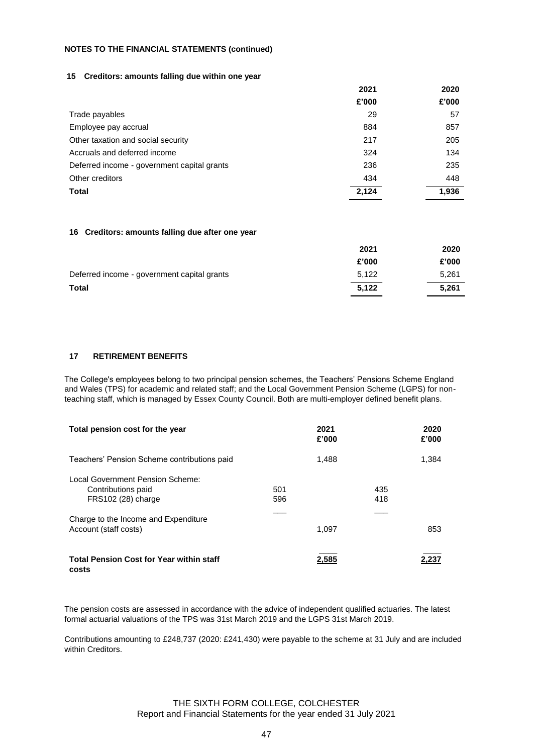#### **15 Creditors: amounts falling due within one year**

|                                             | 2021  | 2020  |
|---------------------------------------------|-------|-------|
|                                             | £'000 | £'000 |
| Trade payables                              | 29    | 57    |
| Employee pay accrual                        | 884   | 857   |
| Other taxation and social security          | 217   | 205   |
| Accruals and deferred income                | 324   | 134   |
| Deferred income - government capital grants | 236   | 235   |
| Other creditors                             | 434   | 448   |
| Total                                       | 2,124 | 1,936 |

#### **16 Creditors: amounts falling due after one year**

|                                             | 2021  | 2020  |
|---------------------------------------------|-------|-------|
|                                             | £'000 | £'000 |
| Deferred income - government capital grants | 5.122 | 5,261 |
| Total                                       | 5.122 | 5.261 |

#### **17 RETIREMENT BENEFITS**

The College's employees belong to two principal pension schemes, the Teachers' Pensions Scheme England and Wales (TPS) for academic and related staff; and the Local Government Pension Scheme (LGPS) for nonteaching staff, which is managed by Essex County Council. Both are multi-employer defined benefit plans.

| Total pension cost for the year                                              |            | 2021<br>£'000 |            | 2020<br>£'000 |
|------------------------------------------------------------------------------|------------|---------------|------------|---------------|
| Teachers' Pension Scheme contributions paid                                  |            | 1,488         |            | 1,384         |
| Local Government Pension Scheme:<br>Contributions paid<br>FRS102 (28) charge | 501<br>596 |               | 435<br>418 |               |
| Charge to the Income and Expenditure<br>Account (staff costs)                |            | 1.097         |            | 853           |
| <b>Total Pension Cost for Year within staff</b><br>costs                     |            | 2,585         |            | 2,237         |

The pension costs are assessed in accordance with the advice of independent qualified actuaries. The latest formal actuarial valuations of the TPS was 31st March 2019 and the LGPS 31st March 2019.

Contributions amounting to £248,737 (2020: £241,430) were payable to the scheme at 31 July and are included within Creditors.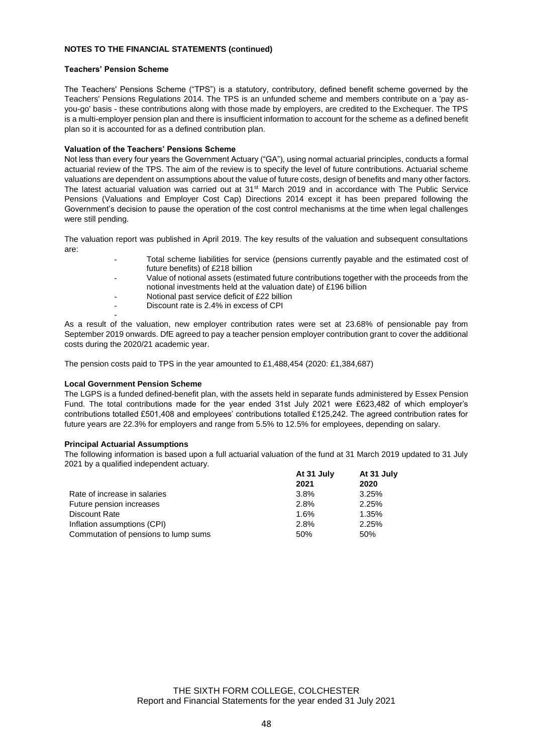#### **Teachers' Pension Scheme**

The Teachers' Pensions Scheme ("TPS") is a statutory, contributory, defined benefit scheme governed by the Teachers' Pensions Regulations 2014. The TPS is an unfunded scheme and members contribute on a 'pay asyou-go' basis - these contributions along with those made by employers, are credited to the Exchequer. The TPS is a multi-employer pension plan and there is insufficient information to account for the scheme as a defined benefit plan so it is accounted for as a defined contribution plan.

#### **Valuation of the Teachers' Pensions Scheme**

Not less than every four years the Government Actuary ("GA"), using normal actuarial principles, conducts a formal actuarial review of the TPS. The aim of the review is to specify the level of future contributions. Actuarial scheme valuations are dependent on assumptions about the value of future costs, design of benefits and many other factors. The latest actuarial valuation was carried out at 31st March 2019 and in accordance with The Public Service Pensions (Valuations and Employer Cost Cap) Directions 2014 except it has been prepared following the Government's decision to pause the operation of the cost control mechanisms at the time when legal challenges were still pending.

The valuation report was published in April 2019. The key results of the valuation and subsequent consultations are:

- Total scheme liabilities for service (pensions currently payable and the estimated cost of future benefits) of £218 billion
- Value of notional assets (estimated future contributions together with the proceeds from the notional investments held at the valuation date) of £196 billion
- Notional past service deficit of £22 billion
- Discount rate is 2.4% in excess of CPI

- As a result of the valuation, new employer contribution rates were set at 23.68% of pensionable pay from September 2019 onwards. DfE agreed to pay a teacher pension employer contribution grant to cover the additional costs during the 2020/21 academic year.

The pension costs paid to TPS in the year amounted to £1,488,454 (2020: £1,384,687)

#### **Local Government Pension Scheme**

The LGPS is a funded defined-benefit plan, with the assets held in separate funds administered by Essex Pension Fund. The total contributions made for the year ended 31st July 2021 were £623,482 of which employer's contributions totalled £501,408 and employees' contributions totalled £125,242. The agreed contribution rates for future years are 22.3% for employers and range from 5.5% to 12.5% for employees, depending on salary.

#### **Principal Actuarial Assumptions**

The following information is based upon a full actuarial valuation of the fund at 31 March 2019 updated to 31 July 2021 by a qualified independent actuary.

|                                      | At 31 July | At 31 July |  |
|--------------------------------------|------------|------------|--|
|                                      | 2021       | 2020       |  |
| Rate of increase in salaries         | 3.8%       | 3.25%      |  |
| Future pension increases             | 2.8%       | 2.25%      |  |
| Discount Rate                        | 1.6%       | 1.35%      |  |
| Inflation assumptions (CPI)          | 2.8%       | 2.25%      |  |
| Commutation of pensions to lump sums | 50%        | 50%        |  |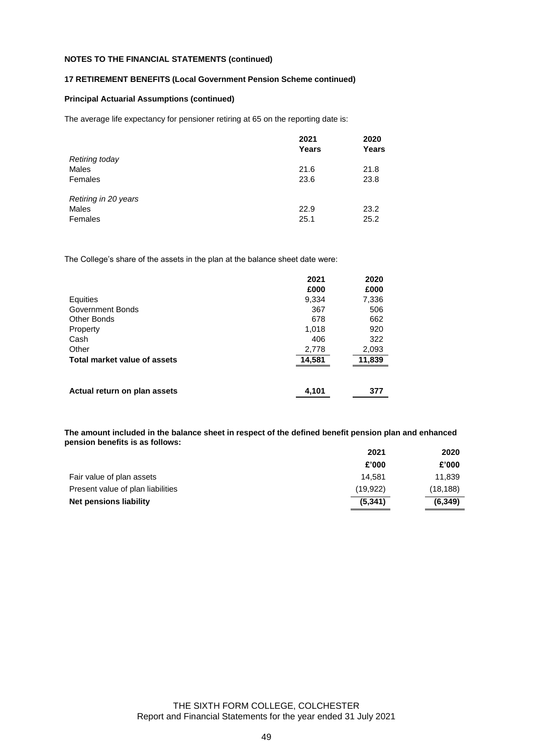#### **17 RETIREMENT BENEFITS (Local Government Pension Scheme continued)**

#### **Principal Actuarial Assumptions (continued)**

The average life expectancy for pensioner retiring at 65 on the reporting date is:

|                      | 2021<br>Years | 2020<br>Years |
|----------------------|---------------|---------------|
| Retiring today       |               |               |
| Males                | 21.6          | 21.8          |
| Females              | 23.6          | 23.8          |
| Retiring in 20 years |               |               |
| Males                | 22.9          | 23.2          |
| Females              | 25.1          | 25.2          |

The College's share of the assets in the plan at the balance sheet date were:

|                              | 2021<br>£000 | 2020<br>£000 |
|------------------------------|--------------|--------------|
| Equities                     | 9,334        | 7,336        |
| Government Bonds             | 367          | 506          |
| Other Bonds                  | 678          | 662          |
| Property                     | 1,018        | 920          |
| Cash                         | 406          | 322          |
| Other                        | 2,778        | 2,093        |
| Total market value of assets | 14,581       | 11,839       |
|                              |              |              |
| Actual return on plan assets | 4,101        | 377          |

**The amount included in the balance sheet in respect of the defined benefit pension plan and enhanced pension benefits is as follows:**

|                                   | 2021      | 2020      |
|-----------------------------------|-----------|-----------|
|                                   | £'000     | £'000     |
| Fair value of plan assets         | 14.581    | 11,839    |
| Present value of plan liabilities | (19, 922) | (18, 188) |
| Net pensions liability            | (5,341)   | (6, 349)  |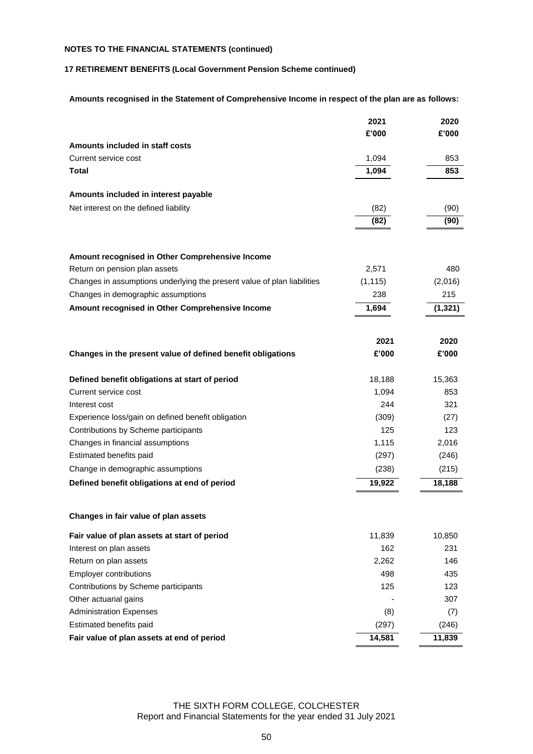#### **17 RETIREMENT BENEFITS (Local Government Pension Scheme continued)**

### **Amounts recognised in the Statement of Comprehensive Income in respect of the plan are as follows:**

|                                                                         | 2021     | 2020     |
|-------------------------------------------------------------------------|----------|----------|
|                                                                         | £'000    | £'000    |
| Amounts included in staff costs                                         |          |          |
| Current service cost                                                    | 1,094    | 853      |
| Total                                                                   | 1,094    | 853      |
| Amounts included in interest payable                                    |          |          |
| Net interest on the defined liability                                   | (82)     | (90)     |
|                                                                         | (82)     | (90)     |
|                                                                         |          |          |
|                                                                         |          |          |
| Amount recognised in Other Comprehensive Income                         |          |          |
| Return on pension plan assets                                           | 2,571    | 480      |
| Changes in assumptions underlying the present value of plan liabilities | (1, 115) | (2,016)  |
| Changes in demographic assumptions                                      | 238      | 215      |
| Amount recognised in Other Comprehensive Income                         | 1,694    | (1, 321) |
|                                                                         |          |          |
|                                                                         | 2021     | 2020     |
| Changes in the present value of defined benefit obligations             | £'000    | £'000    |
| Defined benefit obligations at start of period                          | 18,188   | 15,363   |
| Current service cost                                                    | 1,094    | 853      |
| Interest cost                                                           | 244      | 321      |
| Experience loss/gain on defined benefit obligation                      | (309)    | (27)     |
| Contributions by Scheme participants                                    | 125      | 123      |
| Changes in financial assumptions                                        | 1,115    | 2,016    |
| Estimated benefits paid                                                 | (297)    | (246)    |
| Change in demographic assumptions                                       | (238)    | (215)    |
| Defined benefit obligations at end of period                            | 19,922   | 18,188   |
|                                                                         |          |          |
| Changes in fair value of plan assets                                    |          |          |
| Fair value of plan assets at start of period                            | 11,839   | 10,850   |
| Interest on plan assets                                                 | 162      | 231      |
| Return on plan assets                                                   | 2,262    | 146      |
| <b>Employer contributions</b>                                           | 498      | 435      |
| Contributions by Scheme participants                                    | 125      | 123      |
| Other actuarial gains                                                   |          | 307      |
| <b>Administration Expenses</b>                                          | (8)      | (7)      |
| Estimated benefits paid                                                 | (297)    | (246)    |
| Fair value of plan assets at end of period                              | 14,581   | 11,839   |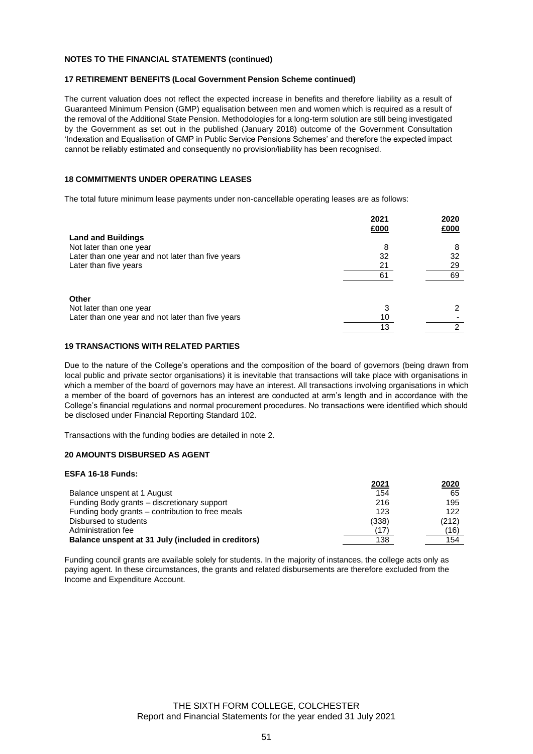#### **17 RETIREMENT BENEFITS (Local Government Pension Scheme continued)**

The current valuation does not reflect the expected increase in benefits and therefore liability as a result of Guaranteed Minimum Pension (GMP) equalisation between men and women which is required as a result of the removal of the Additional State Pension. Methodologies for a long-term solution are still being investigated by the Government as set out in the published (January 2018) outcome of the Government Consultation 'Indexation and Equalisation of GMP in Public Service Pensions Schemes' and therefore the expected impact cannot be reliably estimated and consequently no provision/liability has been recognised.

#### **18 COMMITMENTS UNDER OPERATING LEASES**

The total future minimum lease payments under non-cancellable operating leases are as follows:

|                                                   | 2021<br>£000 | 2020<br>£000 |
|---------------------------------------------------|--------------|--------------|
| <b>Land and Buildings</b>                         |              |              |
| Not later than one year                           | 8            |              |
| Later than one year and not later than five years | 32           | 32           |
| Later than five years                             | 21           | 29           |
|                                                   | 61           | 69           |
| Other                                             |              |              |
| Not later than one year                           | 3            |              |
| Later than one year and not later than five years | 10           |              |
|                                                   | 13           |              |

#### **19 TRANSACTIONS WITH RELATED PARTIES**

Due to the nature of the College's operations and the composition of the board of governors (being drawn from local public and private sector organisations) it is inevitable that transactions will take place with organisations in which a member of the board of governors may have an interest. All transactions involving organisations in which a member of the board of governors has an interest are conducted at arm's length and in accordance with the College's financial regulations and normal procurement procedures. No transactions were identified which should be disclosed under Financial Reporting Standard 102.

Transactions with the funding bodies are detailed in note 2.

#### **20 AMOUNTS DISBURSED AS AGENT**

#### **ESFA 16-18 Funds:**

|                                                    | 2021  | 2020  |
|----------------------------------------------------|-------|-------|
| Balance unspent at 1 August                        | 154   | 65    |
| Funding Body grants - discretionary support        | 216   | 195   |
| Funding body grants – contribution to free meals   | 123   | 122   |
| Disbursed to students                              | (338) | (212) |
| Administration fee                                 | (17)  | (16)  |
| Balance unspent at 31 July (included in creditors) | 138   | 154   |

Funding council grants are available solely for students. In the majority of instances, the college acts only as paying agent. In these circumstances, the grants and related disbursements are therefore excluded from the Income and Expenditure Account.